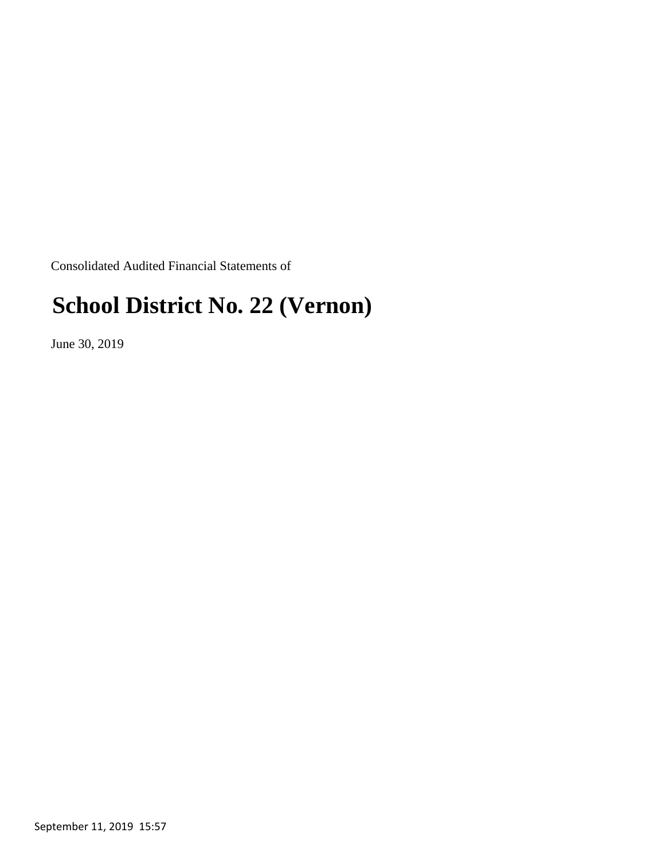Consolidated Audited Financial Statements of

## **School District No. 22 (Vernon)**

June 30, 2019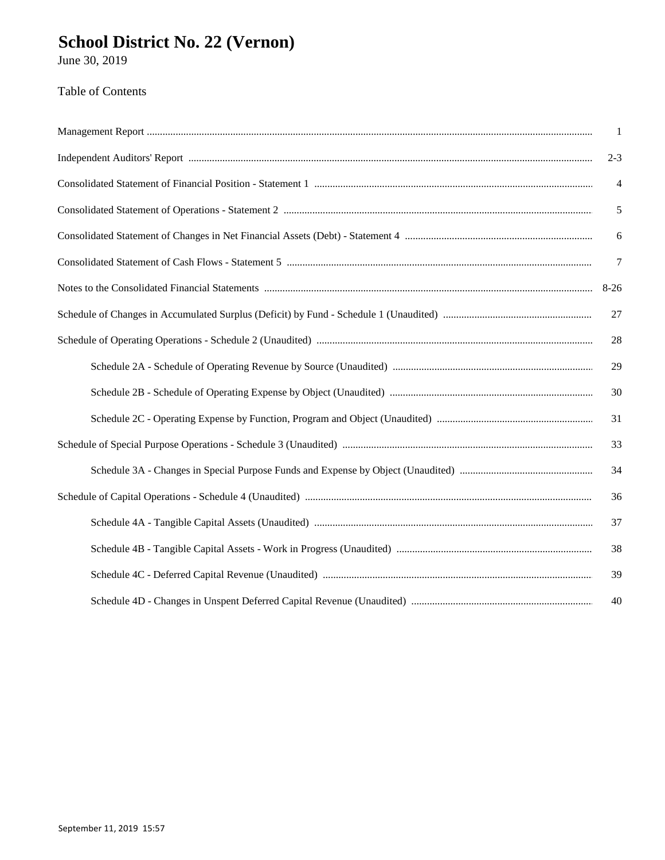# School District No. 22 (Vernon)<br>June 30, 2019

#### Table of Contents

| $\overline{1}$ |
|----------------|
| $2 - 3$        |
| $\overline{4}$ |
| $\mathfrak{S}$ |
| 6              |
| $\tau$         |
| $8-26$         |
| 27             |
| 28             |
| 29             |
| 30             |
| 31             |
| 33             |
| 34             |
| 36             |
| 37             |
| 38             |
| 39             |
| 40             |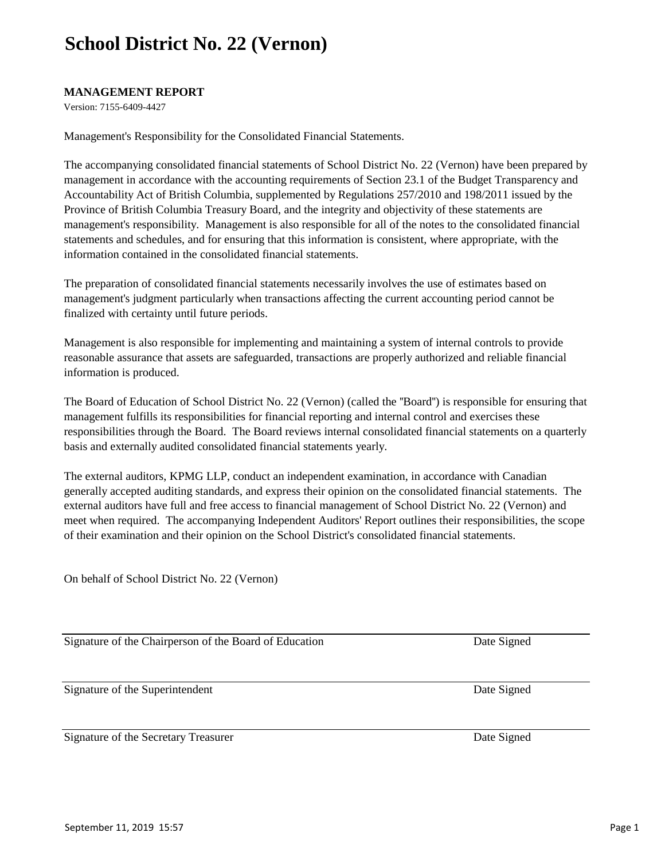#### **MANAGEMENT REPORT**

Version: 7155-6409-4427

Management's Responsibility for the Consolidated Financial Statements.

The accompanying consolidated financial statements of School District No. 22 (Vernon) have been prepared by management in accordance with the accounting requirements of Section 23.1 of the Budget Transparency and Accountability Act of British Columbia, supplemented by Regulations 257/2010 and 198/2011 issued by the Province of British Columbia Treasury Board, and the integrity and objectivity of these statements are management's responsibility. Management is also responsible for all of the notes to the consolidated financial statements and schedules, and for ensuring that this information is consistent, where appropriate, with the information contained in the consolidated financial statements.

The preparation of consolidated financial statements necessarily involves the use of estimates based on management's judgment particularly when transactions affecting the current accounting period cannot be finalized with certainty until future periods.

Management is also responsible for implementing and maintaining a system of internal controls to provide reasonable assurance that assets are safeguarded, transactions are properly authorized and reliable financial information is produced.

The Board of Education of School District No. 22 (Vernon) (called the ''Board'') is responsible for ensuring that management fulfills its responsibilities for financial reporting and internal control and exercises these responsibilities through the Board. The Board reviews internal consolidated financial statements on a quarterly basis and externally audited consolidated financial statements yearly.

The external auditors, KPMG LLP, conduct an independent examination, in accordance with Canadian generally accepted auditing standards, and express their opinion on the consolidated financial statements. The external auditors have full and free access to financial management of School District No. 22 (Vernon) and meet when required. The accompanying Independent Auditors' Report outlines their responsibilities, the scope of their examination and their opinion on the School District's consolidated financial statements.

On behalf of School District No. 22 (Vernon)

Signature of the Chairperson of the Board of Education

Signature of the Superintendent

Signature of the Secretary Treasurer

Date Signed

Date Signed

Date Signed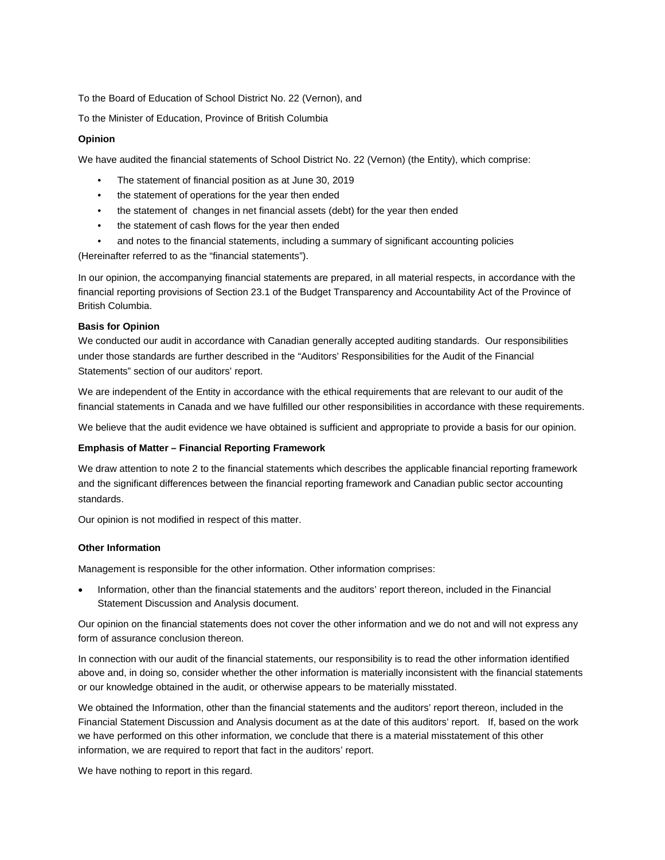To the Board of Education of School District No. 22 (Vernon), and

To the Minister of Education, Province of British Columbia

#### **Opinion**

We have audited the financial statements of School District No. 22 (Vernon) (the Entity), which comprise:

- The statement of financial position as at June 30, 2019
- the statement of operations for the year then ended
- the statement of changes in net financial assets (debt) for the year then ended
- the statement of cash flows for the year then ended
- and notes to the financial statements, including a summary of significant accounting policies

(Hereinafter referred to as the "financial statements").

In our opinion, the accompanying financial statements are prepared, in all material respects, in accordance with the financial reporting provisions of Section 23.1 of the Budget Transparency and Accountability Act of the Province of British Columbia.

#### **Basis for Opinion**

We conducted our audit in accordance with Canadian generally accepted auditing standards. Our responsibilities under those standards are further described in the "Auditors' Responsibilities for the Audit of the Financial Statements" section of our auditors' report.

We are independent of the Entity in accordance with the ethical requirements that are relevant to our audit of the financial statements in Canada and we have fulfilled our other responsibilities in accordance with these requirements.

We believe that the audit evidence we have obtained is sufficient and appropriate to provide a basis for our opinion.

#### **Emphasis of Matter – Financial Reporting Framework**

We draw attention to note 2 to the financial statements which describes the applicable financial reporting framework and the significant differences between the financial reporting framework and Canadian public sector accounting standards.

Our opinion is not modified in respect of this matter.

#### **Other Information**

Management is responsible for the other information. Other information comprises:

• Information, other than the financial statements and the auditors' report thereon, included in the Financial Statement Discussion and Analysis document.

Our opinion on the financial statements does not cover the other information and we do not and will not express any form of assurance conclusion thereon.

In connection with our audit of the financial statements, our responsibility is to read the other information identified above and, in doing so, consider whether the other information is materially inconsistent with the financial statements or our knowledge obtained in the audit, or otherwise appears to be materially misstated.

We obtained the Information, other than the financial statements and the auditors' report thereon, included in the Financial Statement Discussion and Analysis document as at the date of this auditors' report. If, based on the work we have performed on this other information, we conclude that there is a material misstatement of this other information, we are required to report that fact in the auditors' report.

We have nothing to report in this regard.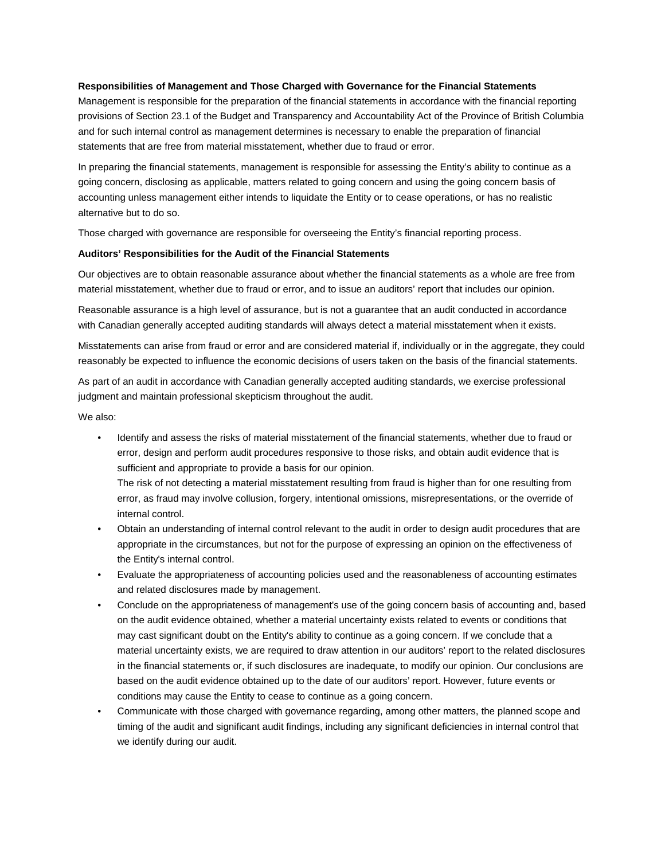#### **Responsibilities of Management and Those Charged with Governance for the Financial Statements**

Management is responsible for the preparation of the financial statements in accordance with the financial reporting provisions of Section 23.1 of the Budget and Transparency and Accountability Act of the Province of British Columbia and for such internal control as management determines is necessary to enable the preparation of financial statements that are free from material misstatement, whether due to fraud or error.

In preparing the financial statements, management is responsible for assessing the Entity's ability to continue as a going concern, disclosing as applicable, matters related to going concern and using the going concern basis of accounting unless management either intends to liquidate the Entity or to cease operations, or has no realistic alternative but to do so.

Those charged with governance are responsible for overseeing the Entity's financial reporting process.

#### **Auditors' Responsibilities for the Audit of the Financial Statements**

Our objectives are to obtain reasonable assurance about whether the financial statements as a whole are free from material misstatement, whether due to fraud or error, and to issue an auditors' report that includes our opinion.

Reasonable assurance is a high level of assurance, but is not a guarantee that an audit conducted in accordance with Canadian generally accepted auditing standards will always detect a material misstatement when it exists.

Misstatements can arise from fraud or error and are considered material if, individually or in the aggregate, they could reasonably be expected to influence the economic decisions of users taken on the basis of the financial statements.

As part of an audit in accordance with Canadian generally accepted auditing standards, we exercise professional judgment and maintain professional skepticism throughout the audit.

We also:

• Identify and assess the risks of material misstatement of the financial statements, whether due to fraud or error, design and perform audit procedures responsive to those risks, and obtain audit evidence that is sufficient and appropriate to provide a basis for our opinion.

The risk of not detecting a material misstatement resulting from fraud is higher than for one resulting from error, as fraud may involve collusion, forgery, intentional omissions, misrepresentations, or the override of internal control.

- Obtain an understanding of internal control relevant to the audit in order to design audit procedures that are appropriate in the circumstances, but not for the purpose of expressing an opinion on the effectiveness of the Entity's internal control.
- Evaluate the appropriateness of accounting policies used and the reasonableness of accounting estimates and related disclosures made by management.
- Conclude on the appropriateness of management's use of the going concern basis of accounting and, based on the audit evidence obtained, whether a material uncertainty exists related to events or conditions that may cast significant doubt on the Entity's ability to continue as a going concern. If we conclude that a material uncertainty exists, we are required to draw attention in our auditors' report to the related disclosures in the financial statements or, if such disclosures are inadequate, to modify our opinion. Our conclusions are based on the audit evidence obtained up to the date of our auditors' report. However, future events or conditions may cause the Entity to cease to continue as a going concern.
- Communicate with those charged with governance regarding, among other matters, the planned scope and timing of the audit and significant audit findings, including any significant deficiencies in internal control that we identify during our audit.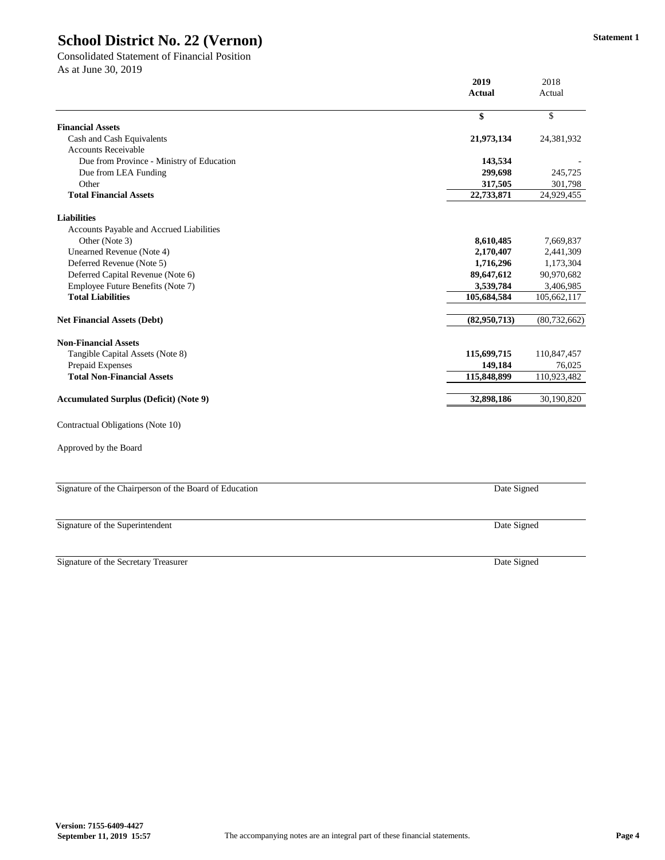|                                                        | 2019          | 2018           |
|--------------------------------------------------------|---------------|----------------|
|                                                        | <b>Actual</b> | Actual         |
|                                                        | \$            | \$             |
| <b>Financial Assets</b>                                |               |                |
| Cash and Cash Equivalents                              | 21,973,134    | 24,381,932     |
| <b>Accounts Receivable</b>                             |               |                |
| Due from Province - Ministry of Education              | 143,534       |                |
| Due from LEA Funding                                   | 299,698       | 245,725        |
| Other                                                  | 317,505       | 301,798        |
| <b>Total Financial Assets</b>                          | 22,733,871    | 24,929,455     |
| <b>Liabilities</b>                                     |               |                |
| <b>Accounts Payable and Accrued Liabilities</b>        |               |                |
| Other (Note 3)                                         | 8,610,485     | 7,669,837      |
| Unearned Revenue (Note 4)                              | 2,170,407     | 2,441,309      |
| Deferred Revenue (Note 5)                              | 1,716,296     | 1,173,304      |
| Deferred Capital Revenue (Note 6)                      | 89,647,612    | 90,970,682     |
| Employee Future Benefits (Note 7)                      | 3,539,784     | 3,406,985      |
| <b>Total Liabilities</b>                               | 105,684,584   | 105,662,117    |
| <b>Net Financial Assets (Debt)</b>                     | (82,950,713)  | (80, 732, 662) |
| <b>Non-Financial Assets</b>                            |               |                |
| Tangible Capital Assets (Note 8)                       | 115,699,715   | 110,847,457    |
| Prepaid Expenses                                       | 149,184       | 76,025         |
| <b>Total Non-Financial Assets</b>                      | 115,848,899   | 110,923,482    |
| <b>Accumulated Surplus (Deficit) (Note 9)</b>          | 32,898,186    | 30,190,820     |
| Contractual Obligations (Note 10)                      |               |                |
| Approved by the Board                                  |               |                |
|                                                        |               |                |
| Signature of the Chairperson of the Board of Education | Date Signed   |                |

Signature of the Superintendent

Signature of the Secretary Treasurer

### **School District No. 22 (Vernon)**

Consolidated Statement of Financial Position As at June 30, 2019

Date Signed

Date Signed

**Version: 7155-6409-4427**

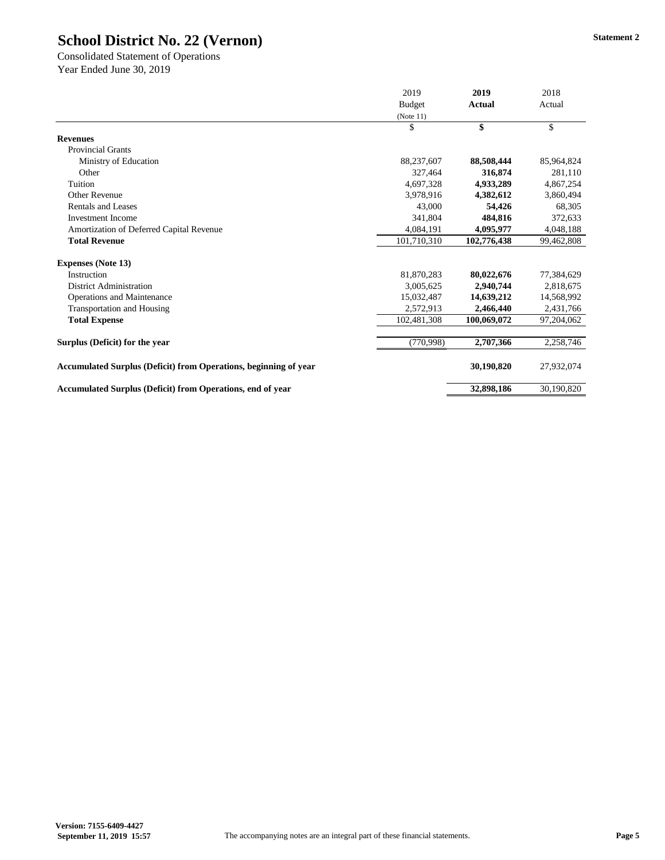|                                                                         | 2019          | 2019          | 2018       |
|-------------------------------------------------------------------------|---------------|---------------|------------|
|                                                                         | <b>Budget</b> | <b>Actual</b> | Actual     |
|                                                                         | (Note 11)     |               |            |
|                                                                         | \$            | \$            | \$         |
| <b>Revenues</b>                                                         |               |               |            |
| <b>Provincial Grants</b>                                                |               |               |            |
| Ministry of Education                                                   | 88,237,607    | 88,508,444    | 85,964,824 |
| Other                                                                   | 327,464       | 316,874       | 281,110    |
| Tuition                                                                 | 4,697,328     | 4,933,289     | 4,867,254  |
| <b>Other Revenue</b>                                                    | 3,978,916     | 4,382,612     | 3,860,494  |
| <b>Rentals and Leases</b>                                               | 43,000        | 54,426        | 68,305     |
| <b>Investment Income</b>                                                | 341,804       | 484,816       | 372,633    |
| Amortization of Deferred Capital Revenue                                | 4,084,191     | 4,095,977     | 4,048,188  |
| <b>Total Revenue</b>                                                    | 101,710,310   | 102,776,438   | 99,462,808 |
| <b>Expenses (Note 13)</b>                                               |               |               |            |
| Instruction                                                             | 81,870,283    | 80,022,676    | 77,384,629 |
| <b>District Administration</b>                                          | 3,005,625     | 2,940,744     | 2,818,675  |
| <b>Operations and Maintenance</b>                                       | 15,032,487    | 14,639,212    | 14,568,992 |
| <b>Transportation and Housing</b>                                       | 2,572,913     | 2,466,440     | 2,431,766  |
| <b>Total Expense</b>                                                    | 102,481,308   | 100,069,072   | 97,204,062 |
| Surplus (Deficit) for the year                                          | (770, 998)    | 2,707,366     | 2,258,746  |
| <b>Accumulated Surplus (Deficit) from Operations, beginning of year</b> |               | 30,190,820    | 27,932,074 |
| <b>Accumulated Surplus (Deficit) from Operations, end of year</b>       |               | 32,898,186    | 30,190,820 |

Consolidated Statement of Operations Year Ended June 30, 2019

**Version: 7155-6409-4427**

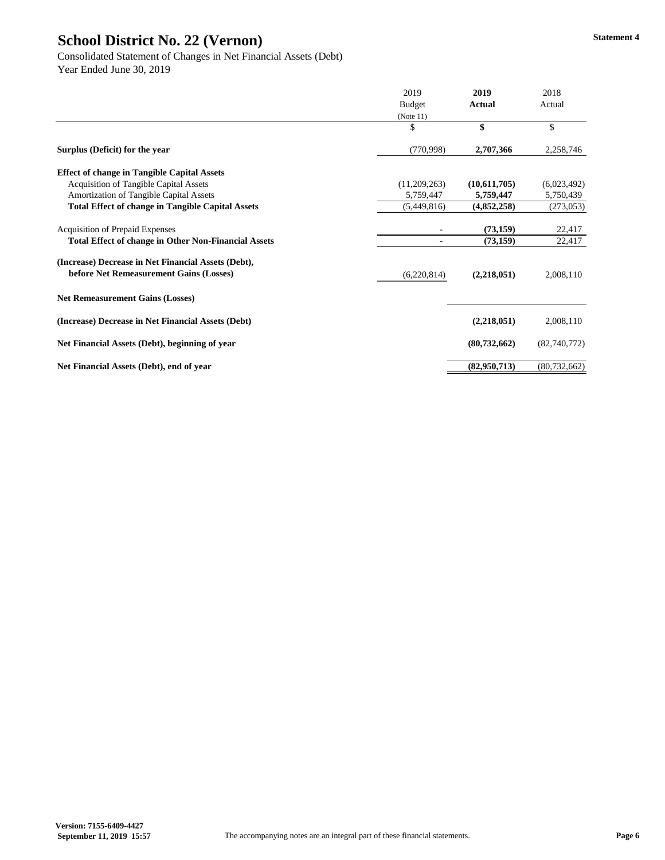|                                                                                                | 2019          | 2019           | 2018           |
|------------------------------------------------------------------------------------------------|---------------|----------------|----------------|
|                                                                                                | <b>Budget</b> | <b>Actual</b>  | Actual         |
|                                                                                                | (Note 11)     |                |                |
|                                                                                                | \$            | \$             | \$             |
| Surplus (Deficit) for the year                                                                 | (770, 998)    | 2,707,366      | 2,258,746      |
| <b>Effect of change in Tangible Capital Assets</b>                                             |               |                |                |
| <b>Acquisition of Tangible Capital Assets</b>                                                  | (11,209,263)  | (10,611,705)   | (6,023,492)    |
| Amortization of Tangible Capital Assets                                                        | 5,759,447     | 5,759,447      | 5,750,439      |
| <b>Total Effect of change in Tangible Capital Assets</b>                                       | (5,449,816)   | (4,852,258)    | (273,053)      |
| <b>Acquisition of Prepaid Expenses</b>                                                         |               | (73, 159)      | 22,417         |
| <b>Total Effect of change in Other Non-Financial Assets</b>                                    |               | (73, 159)      | 22,417         |
| (Increase) Decrease in Net Financial Assets (Debt),<br>before Net Remeasurement Gains (Losses) | (6,220,814)   | (2,218,051)    | 2,008,110      |
| <b>Net Remeasurement Gains (Losses)</b>                                                        |               |                |                |
| (Increase) Decrease in Net Financial Assets (Debt)                                             |               | (2,218,051)    | 2,008,110      |
| Net Financial Assets (Debt), beginning of year                                                 |               | (80, 732, 662) | (82,740,772)   |
| Net Financial Assets (Debt), end of year                                                       |               | (82,950,713)   | (80, 732, 662) |

### Consolidated Statement of Changes in Net Financial Assets (Debt) Year Ended June 30, 2019

**Version: 7155-6409-4427**

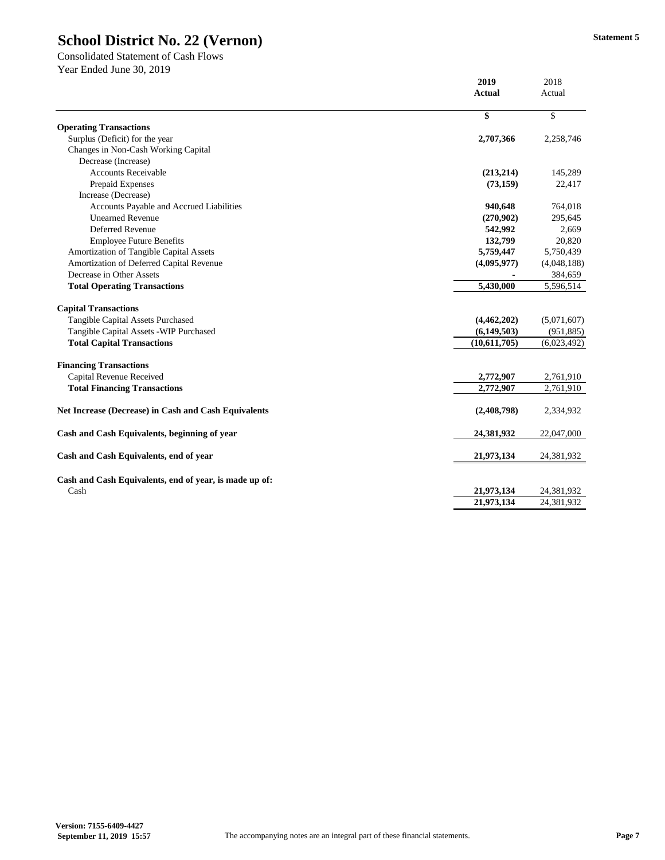|                                                             | 2019          | 2018        |
|-------------------------------------------------------------|---------------|-------------|
|                                                             | <b>Actual</b> | Actual      |
|                                                             | \$            | \$          |
| <b>Operating Transactions</b>                               |               |             |
| Surplus (Deficit) for the year                              | 2,707,366     | 2,258,746   |
| Changes in Non-Cash Working Capital                         |               |             |
| Decrease (Increase)                                         |               |             |
| <b>Accounts Receivable</b>                                  | (213, 214)    | 145,289     |
| Prepaid Expenses                                            | (73, 159)     | 22,417      |
| Increase (Decrease)                                         |               |             |
| <b>Accounts Payable and Accrued Liabilities</b>             | 940,648       | 764,018     |
| <b>Unearned Revenue</b>                                     | (270,902)     | 295,645     |
| <b>Deferred Revenue</b>                                     | 542,992       | 2,669       |
| <b>Employee Future Benefits</b>                             | 132,799       | 20,820      |
| Amortization of Tangible Capital Assets                     | 5,759,447     | 5,750,439   |
| Amortization of Deferred Capital Revenue                    | (4,095,977)   | (4,048,188) |
| Decrease in Other Assets                                    |               | 384,659     |
| <b>Total Operating Transactions</b>                         | 5,430,000     | 5,596,514   |
| <b>Capital Transactions</b>                                 |               |             |
| Tangible Capital Assets Purchased                           | (4,462,202)   | (5,071,607) |
| Tangible Capital Assets - WIP Purchased                     | (6, 149, 503) | (951, 885)  |
| <b>Total Capital Transactions</b>                           | (10,611,705)  | (6,023,492) |
| <b>Financing Transactions</b>                               |               |             |
| Capital Revenue Received                                    | 2,772,907     | 2,761,910   |
| <b>Total Financing Transactions</b>                         | 2,772,907     | 2,761,910   |
| <b>Net Increase (Decrease) in Cash and Cash Equivalents</b> | (2,408,798)   | 2,334,932   |
| Cash and Cash Equivalents, beginning of year                | 24,381,932    | 22,047,000  |
| Cash and Cash Equivalents, end of year                      | 21,973,134    | 24,381,932  |
| Cash and Cash Equivalents, end of year, is made up of:      |               |             |
| Cash                                                        | 21,973,134    | 24,381,932  |
|                                                             | 21,973,134    | 24,381,932  |

Consolidated Statement of Cash Flows Year Ended June 30, 2019

**Version: 7155-6409-4427**

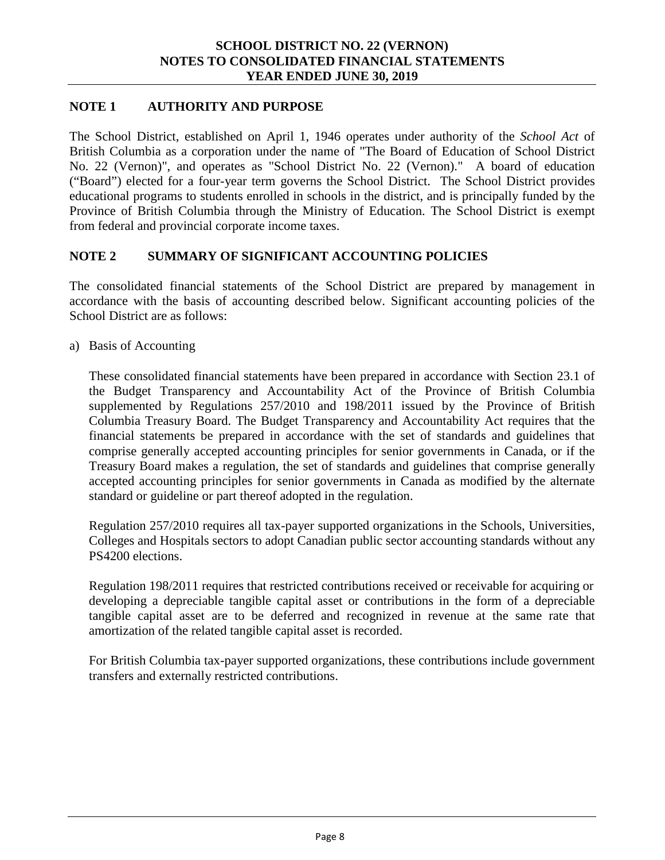#### **NOTE 1 AUTHORITY AND PURPOSE**

The School District, established on April 1, 1946 operates under authority of the *School Act* of British Columbia as a corporation under the name of "The Board of Education of School District No. 22 (Vernon)", and operates as "School District No. 22 (Vernon)." A board of education ("Board") elected for a four-year term governs the School District. The School District provides educational programs to students enrolled in schools in the district, and is principally funded by the Province of British Columbia through the Ministry of Education. The School District is exempt from federal and provincial corporate income taxes.

#### **NOTE 2 SUMMARY OF SIGNIFICANT ACCOUNTING POLICIES**

The consolidated financial statements of the School District are prepared by management in accordance with the basis of accounting described below. Significant accounting policies of the School District are as follows:

a) Basis of Accounting

These consolidated financial statements have been prepared in accordance with Section 23.1 of the Budget Transparency and Accountability Act of the Province of British Columbia supplemented by Regulations 257/2010 and 198/2011 issued by the Province of British Columbia Treasury Board. The Budget Transparency and Accountability Act requires that the financial statements be prepared in accordance with the set of standards and guidelines that comprise generally accepted accounting principles for senior governments in Canada, or if the Treasury Board makes a regulation, the set of standards and guidelines that comprise generally accepted accounting principles for senior governments in Canada as modified by the alternate standard or guideline or part thereof adopted in the regulation.

Regulation 257/2010 requires all tax-payer supported organizations in the Schools, Universities, Colleges and Hospitals sectors to adopt Canadian public sector accounting standards without any PS4200 elections.

Regulation 198/2011 requires that restricted contributions received or receivable for acquiring or developing a depreciable tangible capital asset or contributions in the form of a depreciable tangible capital asset are to be deferred and recognized in revenue at the same rate that amortization of the related tangible capital asset is recorded.

For British Columbia tax-payer supported organizations, these contributions include government transfers and externally restricted contributions.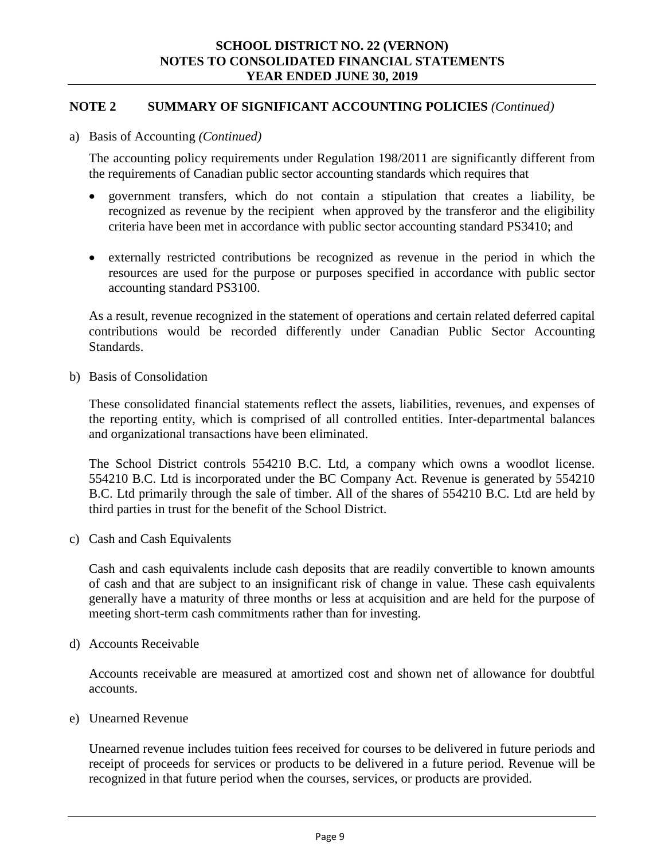#### **NOTE 2 SUMMARY OF SIGNIFICANT ACCOUNTING POLICIES** *(Continued)*

#### a) Basis of Accounting *(Continued)*

The accounting policy requirements under Regulation 198/2011 are significantly different from the requirements of Canadian public sector accounting standards which requires that

- government transfers, which do not contain a stipulation that creates a liability, be recognized as revenue by the recipient when approved by the transferor and the eligibility criteria have been met in accordance with public sector accounting standard PS3410; and
- externally restricted contributions be recognized as revenue in the period in which the resources are used for the purpose or purposes specified in accordance with public sector accounting standard PS3100.

As a result, revenue recognized in the statement of operations and certain related deferred capital contributions would be recorded differently under Canadian Public Sector Accounting Standards.

b) Basis of Consolidation

These consolidated financial statements reflect the assets, liabilities, revenues, and expenses of the reporting entity, which is comprised of all controlled entities. Inter-departmental balances and organizational transactions have been eliminated.

The School District controls 554210 B.C. Ltd, a company which owns a woodlot license. 554210 B.C. Ltd is incorporated under the BC Company Act. Revenue is generated by 554210 B.C. Ltd primarily through the sale of timber. All of the shares of 554210 B.C. Ltd are held by third parties in trust for the benefit of the School District.

c) Cash and Cash Equivalents

Cash and cash equivalents include cash deposits that are readily convertible to known amounts of cash and that are subject to an insignificant risk of change in value. These cash equivalents generally have a maturity of three months or less at acquisition and are held for the purpose of meeting short-term cash commitments rather than for investing.

d) Accounts Receivable

Accounts receivable are measured at amortized cost and shown net of allowance for doubtful accounts.

e) Unearned Revenue

Unearned revenue includes tuition fees received for courses to be delivered in future periods and receipt of proceeds for services or products to be delivered in a future period. Revenue will be recognized in that future period when the courses, services, or products are provided.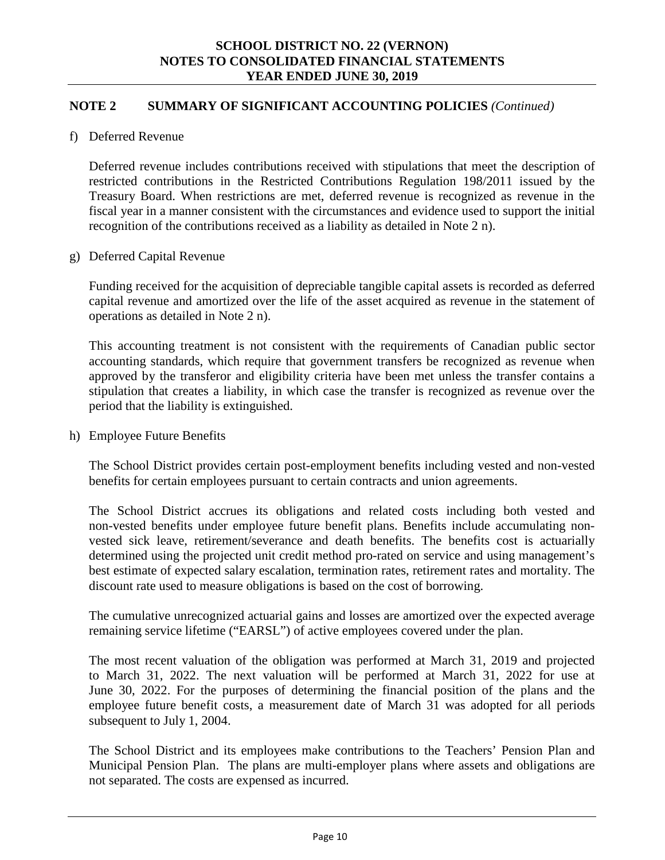#### **NOTE 2 SUMMARY OF SIGNIFICANT ACCOUNTING POLICIES** *(Continued)*

f) Deferred Revenue

Deferred revenue includes contributions received with stipulations that meet the description of restricted contributions in the Restricted Contributions Regulation 198/2011 issued by the Treasury Board. When restrictions are met, deferred revenue is recognized as revenue in the fiscal year in a manner consistent with the circumstances and evidence used to support the initial recognition of the contributions received as a liability as detailed in Note 2 n).

#### g) Deferred Capital Revenue

Funding received for the acquisition of depreciable tangible capital assets is recorded as deferred capital revenue and amortized over the life of the asset acquired as revenue in the statement of operations as detailed in Note 2 n).

This accounting treatment is not consistent with the requirements of Canadian public sector accounting standards, which require that government transfers be recognized as revenue when approved by the transferor and eligibility criteria have been met unless the transfer contains a stipulation that creates a liability, in which case the transfer is recognized as revenue over the period that the liability is extinguished.

h) Employee Future Benefits

The School District provides certain post-employment benefits including vested and non-vested benefits for certain employees pursuant to certain contracts and union agreements.

The School District accrues its obligations and related costs including both vested and non-vested benefits under employee future benefit plans. Benefits include accumulating nonvested sick leave, retirement/severance and death benefits. The benefits cost is actuarially determined using the projected unit credit method pro-rated on service and using management's best estimate of expected salary escalation, termination rates, retirement rates and mortality. The discount rate used to measure obligations is based on the cost of borrowing.

The cumulative unrecognized actuarial gains and losses are amortized over the expected average remaining service lifetime ("EARSL") of active employees covered under the plan.

The most recent valuation of the obligation was performed at March 31, 2019 and projected to March 31, 2022. The next valuation will be performed at March 31, 2022 for use at June 30, 2022. For the purposes of determining the financial position of the plans and the employee future benefit costs, a measurement date of March 31 was adopted for all periods subsequent to July 1, 2004.

The School District and its employees make contributions to the Teachers' Pension Plan and Municipal Pension Plan. The plans are multi-employer plans where assets and obligations are not separated. The costs are expensed as incurred.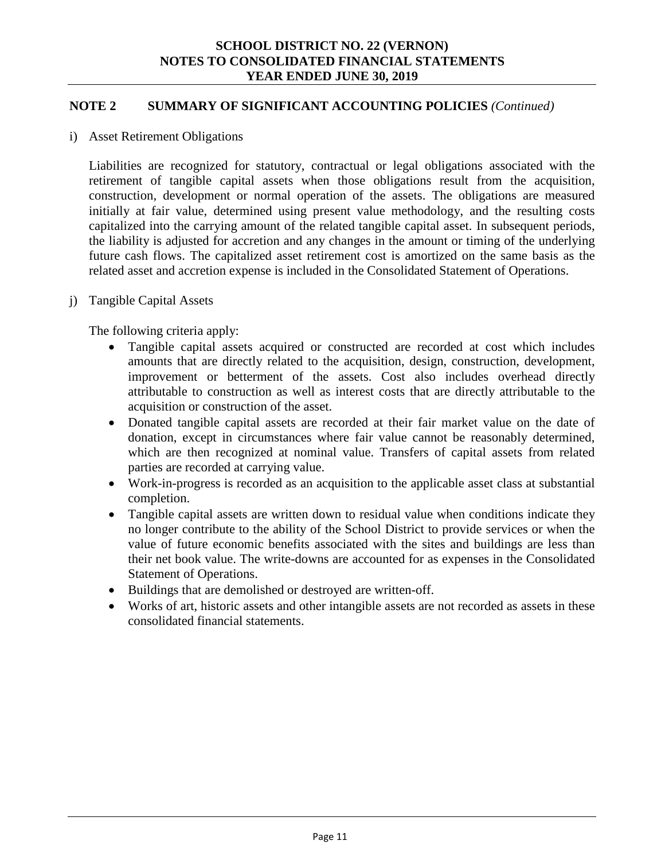#### **NOTE 2 SUMMARY OF SIGNIFICANT ACCOUNTING POLICIES** *(Continued)*

i) Asset Retirement Obligations

Liabilities are recognized for statutory, contractual or legal obligations associated with the retirement of tangible capital assets when those obligations result from the acquisition, construction, development or normal operation of the assets. The obligations are measured initially at fair value, determined using present value methodology, and the resulting costs capitalized into the carrying amount of the related tangible capital asset. In subsequent periods, the liability is adjusted for accretion and any changes in the amount or timing of the underlying future cash flows. The capitalized asset retirement cost is amortized on the same basis as the related asset and accretion expense is included in the Consolidated Statement of Operations.

j) Tangible Capital Assets

The following criteria apply:

- Tangible capital assets acquired or constructed are recorded at cost which includes amounts that are directly related to the acquisition, design, construction, development, improvement or betterment of the assets. Cost also includes overhead directly attributable to construction as well as interest costs that are directly attributable to the acquisition or construction of the asset.
- Donated tangible capital assets are recorded at their fair market value on the date of donation, except in circumstances where fair value cannot be reasonably determined, which are then recognized at nominal value. Transfers of capital assets from related parties are recorded at carrying value.
- Work-in-progress is recorded as an acquisition to the applicable asset class at substantial completion.
- Tangible capital assets are written down to residual value when conditions indicate they no longer contribute to the ability of the School District to provide services or when the value of future economic benefits associated with the sites and buildings are less than their net book value. The write-downs are accounted for as expenses in the Consolidated Statement of Operations.
- Buildings that are demolished or destroyed are written-off.
- Works of art, historic assets and other intangible assets are not recorded as assets in these consolidated financial statements.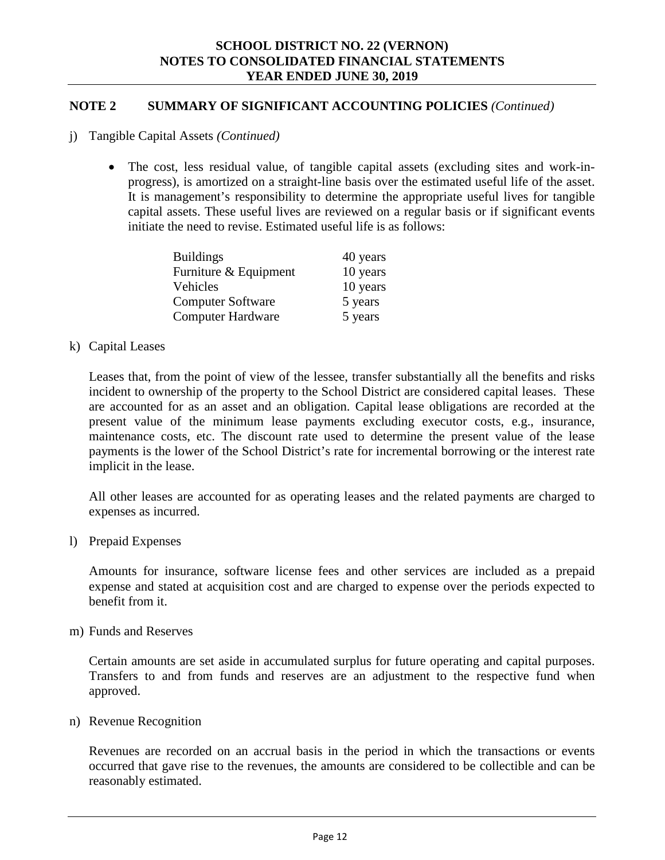#### **NOTE 2 SUMMARY OF SIGNIFICANT ACCOUNTING POLICIES** *(Continued)*

- j) Tangible Capital Assets *(Continued)*
	- The cost, less residual value, of tangible capital assets (excluding sites and work-inprogress), is amortized on a straight-line basis over the estimated useful life of the asset. It is management's responsibility to determine the appropriate useful lives for tangible capital assets. These useful lives are reviewed on a regular basis or if significant events initiate the need to revise. Estimated useful life is as follows:

| <b>Buildings</b>         | 40 years |
|--------------------------|----------|
| Furniture & Equipment    | 10 years |
| Vehicles                 | 10 years |
| <b>Computer Software</b> | 5 years  |
| <b>Computer Hardware</b> | 5 years  |

#### k) Capital Leases

Leases that, from the point of view of the lessee, transfer substantially all the benefits and risks incident to ownership of the property to the School District are considered capital leases. These are accounted for as an asset and an obligation. Capital lease obligations are recorded at the present value of the minimum lease payments excluding executor costs, e.g., insurance, maintenance costs, etc. The discount rate used to determine the present value of the lease payments is the lower of the School District's rate for incremental borrowing or the interest rate implicit in the lease.

All other leases are accounted for as operating leases and the related payments are charged to expenses as incurred.

l) Prepaid Expenses

Amounts for insurance, software license fees and other services are included as a prepaid expense and stated at acquisition cost and are charged to expense over the periods expected to benefit from it.

m) Funds and Reserves

Certain amounts are set aside in accumulated surplus for future operating and capital purposes. Transfers to and from funds and reserves are an adjustment to the respective fund when approved.

n) Revenue Recognition

Revenues are recorded on an accrual basis in the period in which the transactions or events occurred that gave rise to the revenues, the amounts are considered to be collectible and can be reasonably estimated.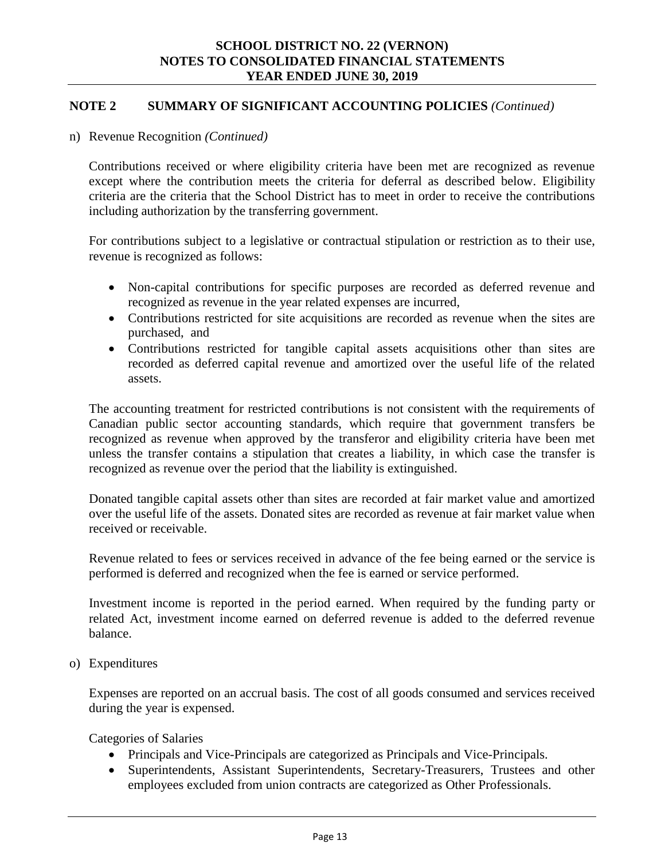#### **NOTE 2 SUMMARY OF SIGNIFICANT ACCOUNTING POLICIES** *(Continued)*

#### n) Revenue Recognition *(Continued)*

Contributions received or where eligibility criteria have been met are recognized as revenue except where the contribution meets the criteria for deferral as described below. Eligibility criteria are the criteria that the School District has to meet in order to receive the contributions including authorization by the transferring government.

For contributions subject to a legislative or contractual stipulation or restriction as to their use, revenue is recognized as follows:

- Non-capital contributions for specific purposes are recorded as deferred revenue and recognized as revenue in the year related expenses are incurred,
- Contributions restricted for site acquisitions are recorded as revenue when the sites are purchased, and
- Contributions restricted for tangible capital assets acquisitions other than sites are recorded as deferred capital revenue and amortized over the useful life of the related assets.

The accounting treatment for restricted contributions is not consistent with the requirements of Canadian public sector accounting standards, which require that government transfers be recognized as revenue when approved by the transferor and eligibility criteria have been met unless the transfer contains a stipulation that creates a liability, in which case the transfer is recognized as revenue over the period that the liability is extinguished.

Donated tangible capital assets other than sites are recorded at fair market value and amortized over the useful life of the assets. Donated sites are recorded as revenue at fair market value when received or receivable.

Revenue related to fees or services received in advance of the fee being earned or the service is performed is deferred and recognized when the fee is earned or service performed.

Investment income is reported in the period earned. When required by the funding party or related Act, investment income earned on deferred revenue is added to the deferred revenue balance.

o) Expenditures

Expenses are reported on an accrual basis. The cost of all goods consumed and services received during the year is expensed.

Categories of Salaries

- Principals and Vice-Principals are categorized as Principals and Vice-Principals.
- Superintendents, Assistant Superintendents, Secretary-Treasurers, Trustees and other employees excluded from union contracts are categorized as Other Professionals.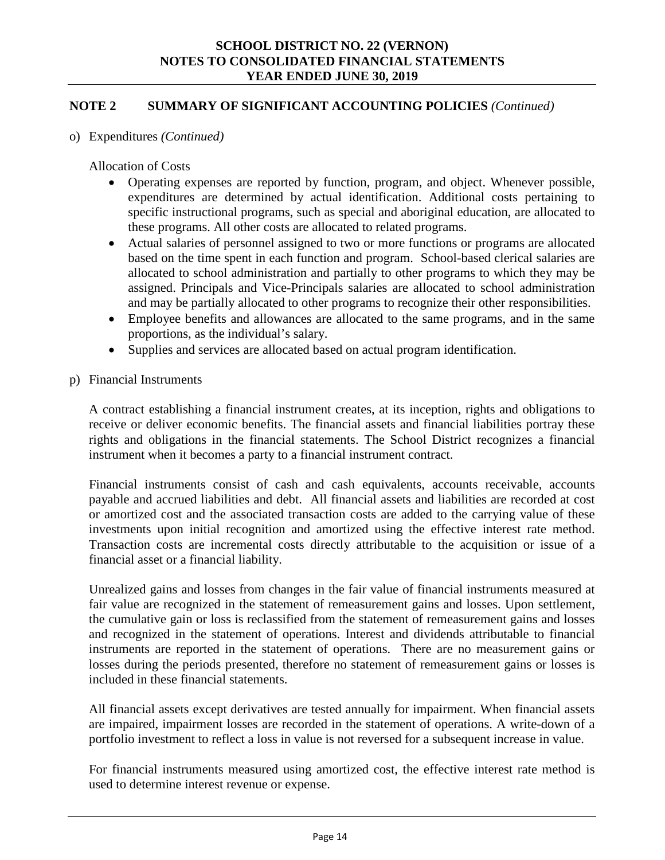#### **NOTE 2 SUMMARY OF SIGNIFICANT ACCOUNTING POLICIES** *(Continued)*

o) Expenditures *(Continued)*

Allocation of Costs

- Operating expenses are reported by function, program, and object. Whenever possible, expenditures are determined by actual identification. Additional costs pertaining to specific instructional programs, such as special and aboriginal education, are allocated to these programs. All other costs are allocated to related programs.
- Actual salaries of personnel assigned to two or more functions or programs are allocated based on the time spent in each function and program. School-based clerical salaries are allocated to school administration and partially to other programs to which they may be assigned. Principals and Vice-Principals salaries are allocated to school administration and may be partially allocated to other programs to recognize their other responsibilities.
- Employee benefits and allowances are allocated to the same programs, and in the same proportions, as the individual's salary.
- Supplies and services are allocated based on actual program identification.
- p) Financial Instruments

A contract establishing a financial instrument creates, at its inception, rights and obligations to receive or deliver economic benefits. The financial assets and financial liabilities portray these rights and obligations in the financial statements. The School District recognizes a financial instrument when it becomes a party to a financial instrument contract.

Financial instruments consist of cash and cash equivalents, accounts receivable, accounts payable and accrued liabilities and debt. All financial assets and liabilities are recorded at cost or amortized cost and the associated transaction costs are added to the carrying value of these investments upon initial recognition and amortized using the effective interest rate method. Transaction costs are incremental costs directly attributable to the acquisition or issue of a financial asset or a financial liability.

Unrealized gains and losses from changes in the fair value of financial instruments measured at fair value are recognized in the statement of remeasurement gains and losses. Upon settlement, the cumulative gain or loss is reclassified from the statement of remeasurement gains and losses and recognized in the statement of operations. Interest and dividends attributable to financial instruments are reported in the statement of operations. There are no measurement gains or losses during the periods presented, therefore no statement of remeasurement gains or losses is included in these financial statements.

All financial assets except derivatives are tested annually for impairment. When financial assets are impaired, impairment losses are recorded in the statement of operations. A write-down of a portfolio investment to reflect a loss in value is not reversed for a subsequent increase in value.

For financial instruments measured using amortized cost, the effective interest rate method is used to determine interest revenue or expense.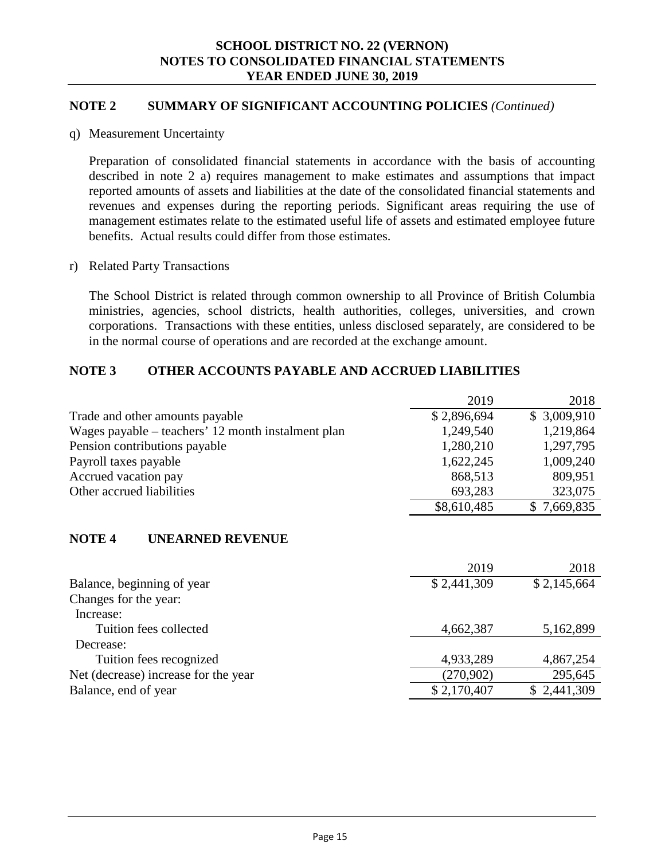#### **NOTE 2 SUMMARY OF SIGNIFICANT ACCOUNTING POLICIES** *(Continued)*

q) Measurement Uncertainty

Preparation of consolidated financial statements in accordance with the basis of accounting described in note 2 a) requires management to make estimates and assumptions that impact reported amounts of assets and liabilities at the date of the consolidated financial statements and revenues and expenses during the reporting periods. Significant areas requiring the use of management estimates relate to the estimated useful life of assets and estimated employee future benefits. Actual results could differ from those estimates.

r) Related Party Transactions

The School District is related through common ownership to all Province of British Columbia ministries, agencies, school districts, health authorities, colleges, universities, and crown corporations. Transactions with these entities, unless disclosed separately, are considered to be in the normal course of operations and are recorded at the exchange amount.

#### **NOTE 3 OTHER ACCOUNTS PAYABLE AND ACCRUED LIABILITIES**

|                                                    | 2019        | 2018        |
|----------------------------------------------------|-------------|-------------|
| Trade and other amounts payable                    | \$2,896,694 | \$3,009,910 |
| Wages payable – teachers' 12 month instalment plan | 1,249,540   | 1,219,864   |
| Pension contributions payable                      | 1,280,210   | 1,297,795   |
| Payroll taxes payable                              | 1,622,245   | 1,009,240   |
| Accrued vacation pay                               | 868,513     | 809,951     |
| Other accrued liabilities                          | 693,283     | 323,075     |
|                                                    | \$8,610,485 | \$7,669,835 |
| <b>NOTE 4</b><br><b>UNEARNED REVENUE</b>           |             |             |
|                                                    | 2019        | 2018        |
| Balance, beginning of year                         | \$2,441,309 | \$2,145,664 |
| Changes for the year:                              |             |             |
| Increase:                                          |             |             |
| Tuition fees collected                             | 4,662,387   | 5,162,899   |
| Decrease:                                          |             |             |
| Tuition fees recognized                            | 4,933,289   | 4,867,254   |
| Net (decrease) increase for the year               | (270, 902)  | 295,645     |
| Balance, end of year                               | \$2,170,407 | \$2,441,309 |
|                                                    |             |             |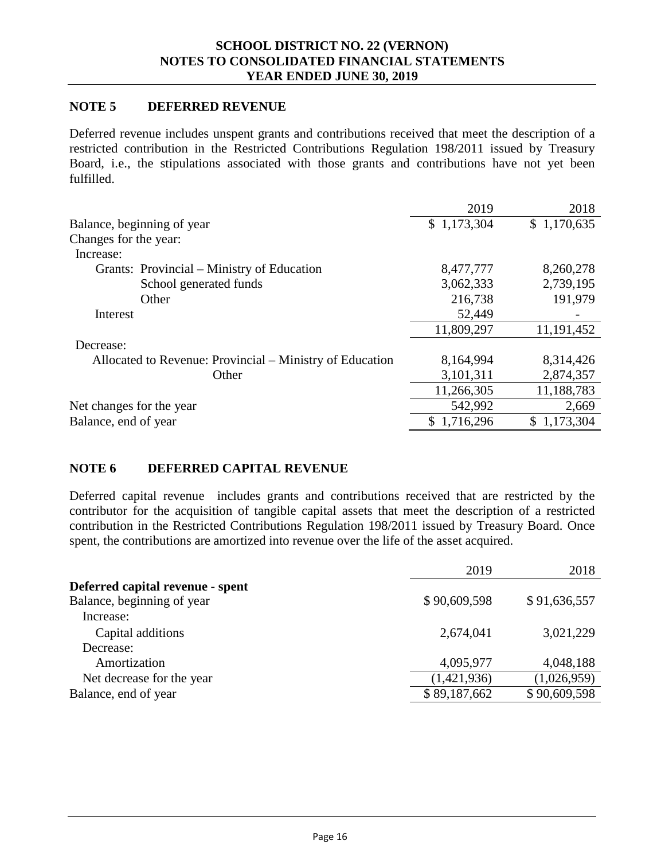#### **NOTE 5 DEFERRED REVENUE**

Deferred revenue includes unspent grants and contributions received that meet the description of a restricted contribution in the Restricted Contributions Regulation 198/2011 issued by Treasury Board, i.e., the stipulations associated with those grants and contributions have not yet been fulfilled.

|                                                          | 2019        | 2018            |
|----------------------------------------------------------|-------------|-----------------|
| Balance, beginning of year                               | \$1,173,304 | \$1,170,635     |
| Changes for the year:                                    |             |                 |
| Increase:                                                |             |                 |
| Grants: Provincial – Ministry of Education               | 8,477,777   | 8,260,278       |
| School generated funds                                   | 3,062,333   | 2,739,195       |
| Other                                                    | 216,738     | 191,979         |
| Interest                                                 | 52,449      |                 |
|                                                          | 11,809,297  | 11, 191, 452    |
| Decrease:                                                |             |                 |
| Allocated to Revenue: Provincial – Ministry of Education | 8,164,994   | 8,314,426       |
| Other                                                    | 3,101,311   | 2,874,357       |
|                                                          | 11,266,305  | 11,188,783      |
| Net changes for the year                                 | 542,992     | 2,669           |
| Balance, end of year                                     | \$1,716,296 | 1,173,304<br>S. |
|                                                          |             |                 |

#### **NOTE 6 DEFERRED CAPITAL REVENUE**

Deferred capital revenue includes grants and contributions received that are restricted by the contributor for the acquisition of tangible capital assets that meet the description of a restricted contribution in the Restricted Contributions Regulation 198/2011 issued by Treasury Board. Once spent, the contributions are amortized into revenue over the life of the asset acquired.

|                                  | 2019         | 2018         |
|----------------------------------|--------------|--------------|
| Deferred capital revenue - spent |              |              |
| Balance, beginning of year       | \$90,609,598 | \$91,636,557 |
| Increase:                        |              |              |
| Capital additions                | 2,674,041    | 3,021,229    |
| Decrease:                        |              |              |
| Amortization                     | 4,095,977    | 4,048,188    |
| Net decrease for the year        | (1,421,936)  | (1,026,959)  |
| Balance, end of year             | \$89,187,662 | \$90,609,598 |
|                                  |              |              |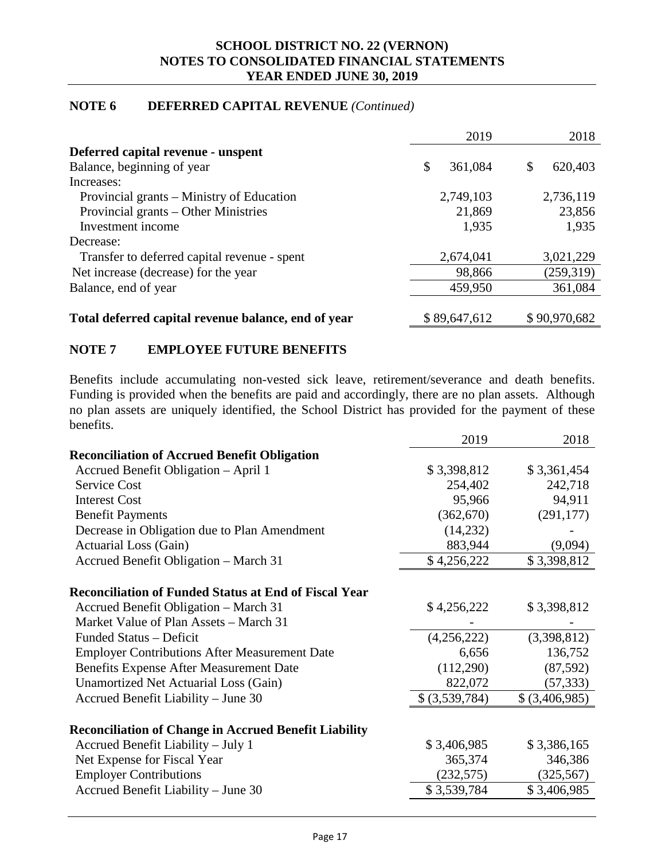#### **NOTE 6 DEFERRED CAPITAL REVENUE** *(Continued)*

|                                                     | 2019          | 2018          |
|-----------------------------------------------------|---------------|---------------|
| Deferred capital revenue - unspent                  |               |               |
| Balance, beginning of year                          | \$<br>361,084 | 620,403<br>\$ |
| Increases:                                          |               |               |
| Provincial grants – Ministry of Education           | 2,749,103     | 2,736,119     |
| Provincial grants – Other Ministries                | 21,869        | 23,856        |
| Investment income                                   | 1,935         | 1,935         |
| Decrease:                                           |               |               |
| Transfer to deferred capital revenue - spent        | 2,674,041     | 3,021,229     |
| Net increase (decrease) for the year                | 98,866        | (259, 319)    |
| Balance, end of year                                | 459,950       | 361,084       |
| Total deferred capital revenue balance, end of year | \$89,647,612  | \$90,970,682  |

#### **NOTE 7 EMPLOYEE FUTURE BENEFITS**

Benefits include accumulating non-vested sick leave, retirement/severance and death benefits. Funding is provided when the benefits are paid and accordingly, there are no plan assets. Although no plan assets are uniquely identified, the School District has provided for the payment of these benefits.

|                                                              | 2019              | 2018              |
|--------------------------------------------------------------|-------------------|-------------------|
| <b>Reconciliation of Accrued Benefit Obligation</b>          |                   |                   |
| Accrued Benefit Obligation - April 1                         | \$3,398,812       | \$3,361,454       |
| <b>Service Cost</b>                                          | 254,402           | 242,718           |
| <b>Interest Cost</b>                                         | 95,966            | 94,911            |
| <b>Benefit Payments</b>                                      | (362,670)         | (291, 177)        |
| Decrease in Obligation due to Plan Amendment                 | (14,232)          |                   |
| Actuarial Loss (Gain)                                        | 883,944           | (9,094)           |
| Accrued Benefit Obligation - March 31                        | \$4,256,222       | \$3,398,812       |
|                                                              |                   |                   |
| <b>Reconciliation of Funded Status at End of Fiscal Year</b> |                   |                   |
| Accrued Benefit Obligation - March 31                        | \$4,256,222       | \$3,398,812       |
| Market Value of Plan Assets - March 31                       |                   |                   |
| Funded Status - Deficit                                      | (4,256,222)       | (3,398,812)       |
| <b>Employer Contributions After Measurement Date</b>         | 6,656             | 136,752           |
| Benefits Expense After Measurement Date                      | (112,290)         | (87, 592)         |
| Unamortized Net Actuarial Loss (Gain)                        | 822,072           | (57, 333)         |
| Accrued Benefit Liability - June 30                          | $$$ $(3,539,784)$ | $$$ $(3,406,985)$ |
|                                                              |                   |                   |
| <b>Reconciliation of Change in Accrued Benefit Liability</b> |                   |                   |
| Accrued Benefit Liability – July 1                           | \$3,406,985       | \$3,386,165       |
| Net Expense for Fiscal Year                                  | 365,374           | 346,386           |
| <b>Employer Contributions</b>                                | (232, 575)        | (325, 567)        |
| Accrued Benefit Liability – June 30                          | \$3,539,784       | \$3,406,985       |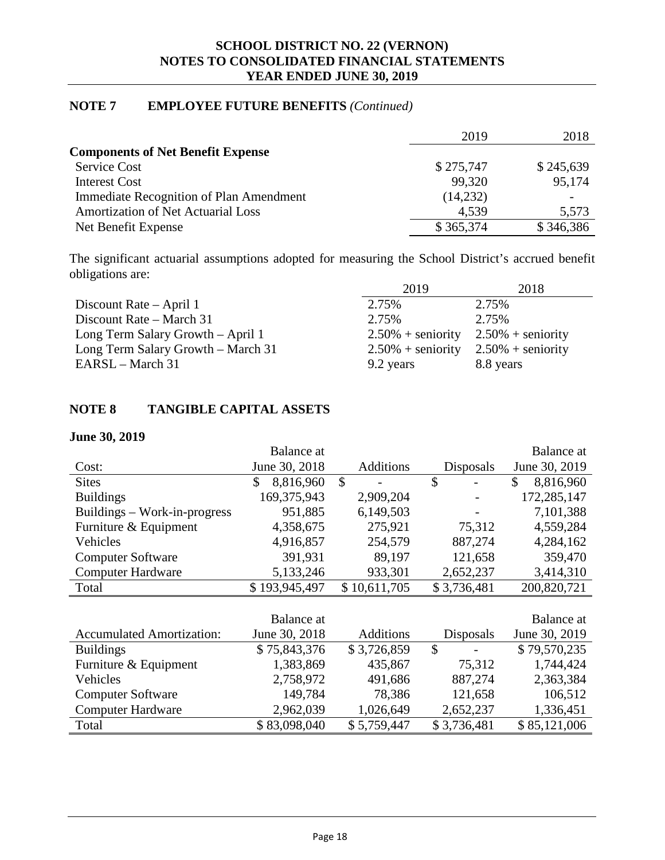#### **NOTE 7 EMPLOYEE FUTURE BENEFITS** *(Continued)*

|                                                | 2019      | 2018      |
|------------------------------------------------|-----------|-----------|
| <b>Components of Net Benefit Expense</b>       |           |           |
| <b>Service Cost</b>                            | \$275,747 | \$245,639 |
| <b>Interest Cost</b>                           | 99,320    | 95,174    |
| <b>Immediate Recognition of Plan Amendment</b> | (14,232)  |           |
| <b>Amortization of Net Actuarial Loss</b>      | 4.539     | 5,573     |
| Net Benefit Expense                            | \$365,374 | \$346,386 |

The significant actuarial assumptions adopted for measuring the School District's accrued benefit obligations are:

|                                    | 2019                                      | 2018      |
|------------------------------------|-------------------------------------------|-----------|
| Discount Rate $-$ April 1          | 2.75%                                     | 2.75%     |
| Discount Rate – March 31           | 2.75%                                     | 2.75%     |
| Long Term Salary Growth – April 1  | $2.50\%$ + seniority $2.50\%$ + seniority |           |
| Long Term Salary Growth – March 31 | $2.50\%$ + seniority $2.50\%$ + seniority |           |
| EARSL – March 31                   | 9.2 years                                 | 8.8 years |

#### **NOTE 8 TANGIBLE CAPITAL ASSETS**

#### **June 30, 2019**

|                                | Balance at      |                  |                              | Balance at      |
|--------------------------------|-----------------|------------------|------------------------------|-----------------|
| Cost:                          | June 30, 2018   | <b>Additions</b> | Disposals                    | June 30, 2019   |
| <b>Sites</b>                   | 8,816,960<br>\$ | \$               | \$                           | 8,816,960<br>\$ |
| <b>Buildings</b>               | 169,375,943     | 2,909,204        | $\qquad \qquad \blacksquare$ | 172,285,147     |
| Buildings $-$ Work-in-progress | 951,885         | 6,149,503        | $\qquad \qquad \blacksquare$ | 7,101,388       |
| Furniture & Equipment          | 4,358,675       | 275,921          | 75,312                       | 4,559,284       |
| Vehicles                       | 4,916,857       | 254,579          | 887,274                      | 4,284,162       |
| <b>Computer Software</b>       | 391,931         | 89,197           | 121,658                      | 359,470         |
| <b>Computer Hardware</b>       | 5,133,246       | 933,301          | 2,652,237                    | 3,414,310       |
| Total                          | \$193,945,497   | \$10,611,705     | \$3,736,481                  | 200,820,721     |
|                                |                 |                  |                              |                 |
|                                | Balance at      |                  |                              | Balance at      |

|                                  | Balance at    |                  |                                    | Balance at    |
|----------------------------------|---------------|------------------|------------------------------------|---------------|
| <b>Accumulated Amortization:</b> | June 30, 2018 | <b>Additions</b> | <b>Disposals</b>                   | June 30, 2019 |
| <b>Buildings</b>                 | \$75,843,376  | \$3,726,859      | \$<br>$\qquad \qquad \blacksquare$ | \$79,570,235  |
| Furniture & Equipment            | 1,383,869     | 435,867          | 75,312                             | 1,744,424     |
| Vehicles                         | 2,758,972     | 491,686          | 887,274                            | 2,363,384     |
| <b>Computer Software</b>         | 149,784       | 78,386           | 121,658                            | 106,512       |
| <b>Computer Hardware</b>         | 2,962,039     | 1,026,649        | 2,652,237                          | 1,336,451     |
| Total                            | \$83,098,040  | \$5,759,447      | \$3,736,481                        | \$85,121,006  |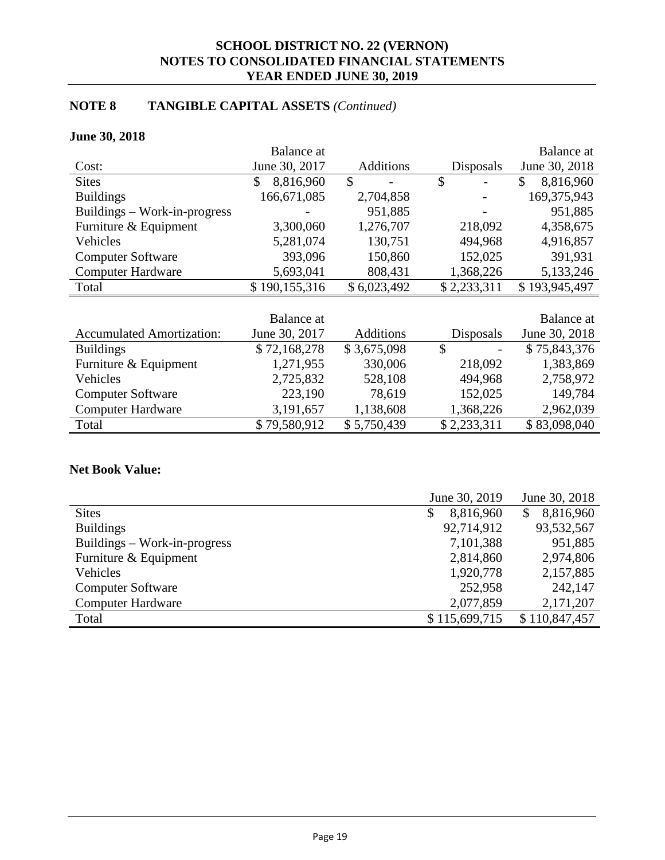#### **NOTE 8 TANGIBLE CAPITAL ASSETS** *(Continued)*

#### **June 30, 2018**

|                                  | Balance at        |                  |             | Balance at      |
|----------------------------------|-------------------|------------------|-------------|-----------------|
| Cost:                            | June 30, 2017     | <b>Additions</b> | Disposals   | June 30, 2018   |
| <b>Sites</b>                     | \$<br>8,816,960   | $\mathcal{S}$    | \$          | \$<br>8,816,960 |
| <b>Buildings</b>                 | 166,671,085       | 2,704,858        |             | 169,375,943     |
| Buildings – Work-in-progress     |                   | 951,885          |             | 951,885         |
| Furniture & Equipment            | 3,300,060         | 1,276,707        | 218,092     | 4,358,675       |
| Vehicles                         | 5,281,074         | 130,751          | 494,968     | 4,916,857       |
| <b>Computer Software</b>         | 393,096           | 150,860          | 152,025     | 391,931         |
| <b>Computer Hardware</b>         | 5,693,041         | 808,431          | 1,368,226   | 5,133,246       |
| Total                            | \$190,155,316     | \$6,023,492      | \$2,233,311 | \$193,945,497   |
|                                  |                   |                  |             |                 |
|                                  | <b>Balance</b> at |                  |             | Balance at      |
| <b>Accumulated Amortization:</b> | June 30, 2017     | <b>Additions</b> | Disposals   | June 30, 2018   |
| <b>Buildings</b>                 | \$72,168,278      | \$3,675,098      | \$          | \$75,843,376    |
| Furniture & Equipment            | 1,271,955         | 330,006          | 218,092     | 1,383,869       |
| Vehicles                         | 2,725,832         | 528,108          | 494,968     | 2,758,972       |
| <b>Computer Software</b>         | 223,190           | 78,619           | 152,025     | 149,784         |
| <b>Computer Hardware</b>         | 3,191,657         | 1,138,608        | 1,368,226   | 2,962,039       |
| Total                            | \$79,580,912      | \$5,750,439      | \$2,233,311 | \$83,098,040    |

#### **Net Book Value:**

|                              | June 30, 2019 | June 30, 2018   |
|------------------------------|---------------|-----------------|
| <b>Sites</b>                 | 8,816,960     | 8,816,960<br>\$ |
| <b>Buildings</b>             | 92,714,912    | 93,532,567      |
| Buildings – Work-in-progress | 7,101,388     | 951,885         |
| Furniture & Equipment        | 2,814,860     | 2,974,806       |
| Vehicles                     | 1,920,778     | 2,157,885       |
| <b>Computer Software</b>     | 252,958       | 242,147         |
| <b>Computer Hardware</b>     | 2,077,859     | 2,171,207       |
| Total                        | \$115,699,715 | \$110,847,457   |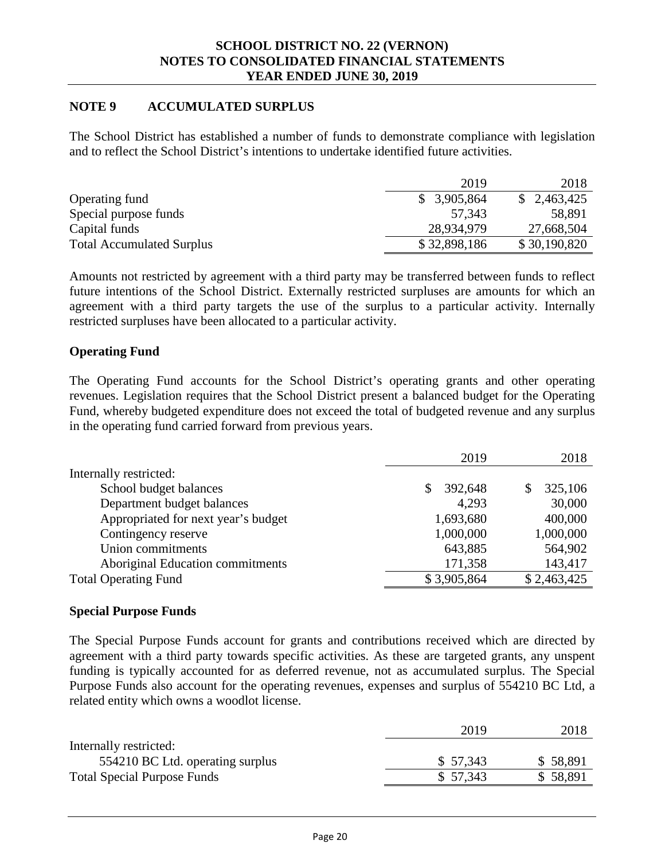#### **NOTE 9 ACCUMULATED SURPLUS**

The School District has established a number of funds to demonstrate compliance with legislation and to reflect the School District's intentions to undertake identified future activities.

|                                  | 2019         | 2018         |
|----------------------------------|--------------|--------------|
| Operating fund                   | \$3,905,864  | \$2,463,425  |
| Special purpose funds            | 57,343       | 58,891       |
| Capital funds                    | 28,934,979   | 27,668,504   |
| <b>Total Accumulated Surplus</b> | \$32,898,186 | \$30,190,820 |

Amounts not restricted by agreement with a third party may be transferred between funds to reflect future intentions of the School District. Externally restricted surpluses are amounts for which an agreement with a third party targets the use of the surplus to a particular activity. Internally restricted surpluses have been allocated to a particular activity.

#### **Operating Fund**

The Operating Fund accounts for the School District's operating grants and other operating revenues. Legislation requires that the School District present a balanced budget for the Operating Fund, whereby budgeted expenditure does not exceed the total of budgeted revenue and any surplus in the operating fund carried forward from previous years.

|                                     | 2019        | 2018        |
|-------------------------------------|-------------|-------------|
| Internally restricted:              |             |             |
| School budget balances              | 392,648     | 325,106     |
| Department budget balances          | 4,293       | 30,000      |
| Appropriated for next year's budget | 1,693,680   | 400,000     |
| Contingency reserve                 | 1,000,000   | 1,000,000   |
| Union commitments                   | 643,885     | 564,902     |
| Aboriginal Education commitments    | 171,358     | 143,417     |
| <b>Total Operating Fund</b>         | \$3,905,864 | \$2,463,425 |

#### **Special Purpose Funds**

The Special Purpose Funds account for grants and contributions received which are directed by agreement with a third party towards specific activities. As these are targeted grants, any unspent funding is typically accounted for as deferred revenue, not as accumulated surplus. The Special Purpose Funds also account for the operating revenues, expenses and surplus of 554210 BC Ltd, a related entity which owns a woodlot license.

|                                    | 2019      | 2018     |
|------------------------------------|-----------|----------|
| Internally restricted:             |           |          |
| 554210 BC Ltd. operating surplus   | \$ 57,343 | \$58,891 |
| <b>Total Special Purpose Funds</b> | \$57.343  | \$58,891 |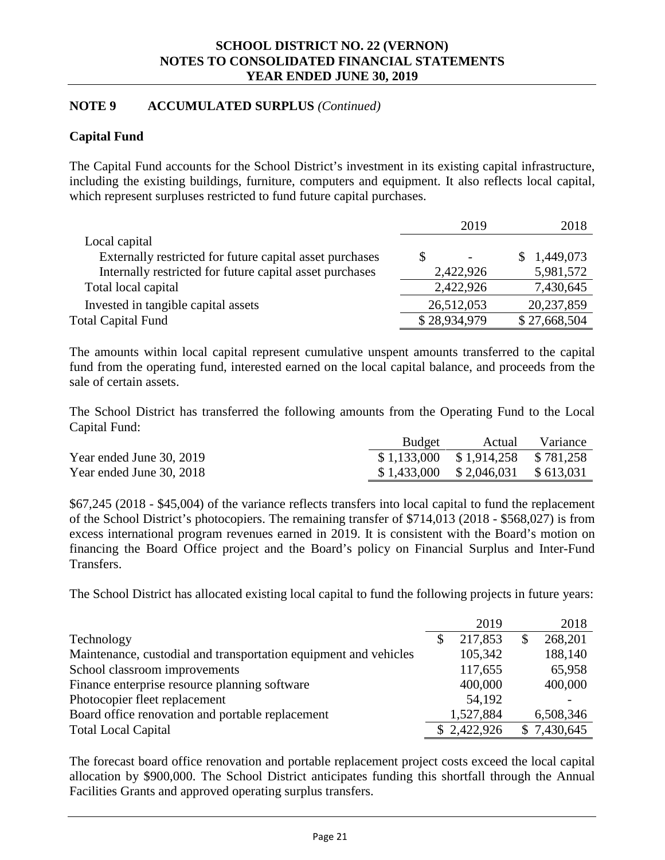#### **NOTE 9 ACCUMULATED SURPLUS** *(Continued)*

#### **Capital Fund**

The Capital Fund accounts for the School District's investment in its existing capital infrastructure, including the existing buildings, furniture, computers and equipment. It also reflects local capital, which represent surpluses restricted to fund future capital purchases.

|                                                          | 2019         | 2018            |
|----------------------------------------------------------|--------------|-----------------|
| Local capital                                            |              |                 |
| Externally restricted for future capital asset purchases | S            | 1,449,073<br>S. |
| Internally restricted for future capital asset purchases | 2,422,926    | 5,981,572       |
| Total local capital                                      | 2,422,926    | 7,430,645       |
| Invested in tangible capital assets                      | 26,512,053   | 20,237,859      |
| <b>Total Capital Fund</b>                                | \$28,934,979 | \$27,668,504    |

The amounts within local capital represent cumulative unspent amounts transferred to the capital fund from the operating fund, interested earned on the local capital balance, and proceeds from the sale of certain assets.

The School District has transferred the following amounts from the Operating Fund to the Local Capital Fund:

|                          | <b>Budget</b> | Actual                                       | Variance |
|--------------------------|---------------|----------------------------------------------|----------|
| Year ended June 30, 2019 |               | $$1,133,000$ $$1,914,258$ $$781,258$         |          |
| Year ended June 30, 2018 |               | $$1,433,000 \quad $2,046,031 \quad $613,031$ |          |

\$67,245 (2018 - \$45,004) of the variance reflects transfers into local capital to fund the replacement of the School District's photocopiers. The remaining transfer of \$714,013 (2018 - \$568,027) is from excess international program revenues earned in 2019. It is consistent with the Board's motion on financing the Board Office project and the Board's policy on Financial Surplus and Inter-Fund Transfers.

The School District has allocated existing local capital to fund the following projects in future years:

|                                                                  | 2019        | 2018        |
|------------------------------------------------------------------|-------------|-------------|
| Technology                                                       | 217,853     | 268,201     |
| Maintenance, custodial and transportation equipment and vehicles | 105,342     | 188,140     |
| School classroom improvements                                    | 117,655     | 65,958      |
| Finance enterprise resource planning software                    | 400,000     | 400,000     |
| Photocopier fleet replacement                                    | 54,192      |             |
| Board office renovation and portable replacement                 | 1,527,884   | 6,508,346   |
| <b>Total Local Capital</b>                                       | \$2,422,926 | \$7,430,645 |

The forecast board office renovation and portable replacement project costs exceed the local capital allocation by \$900,000. The School District anticipates funding this shortfall through the Annual Facilities Grants and approved operating surplus transfers.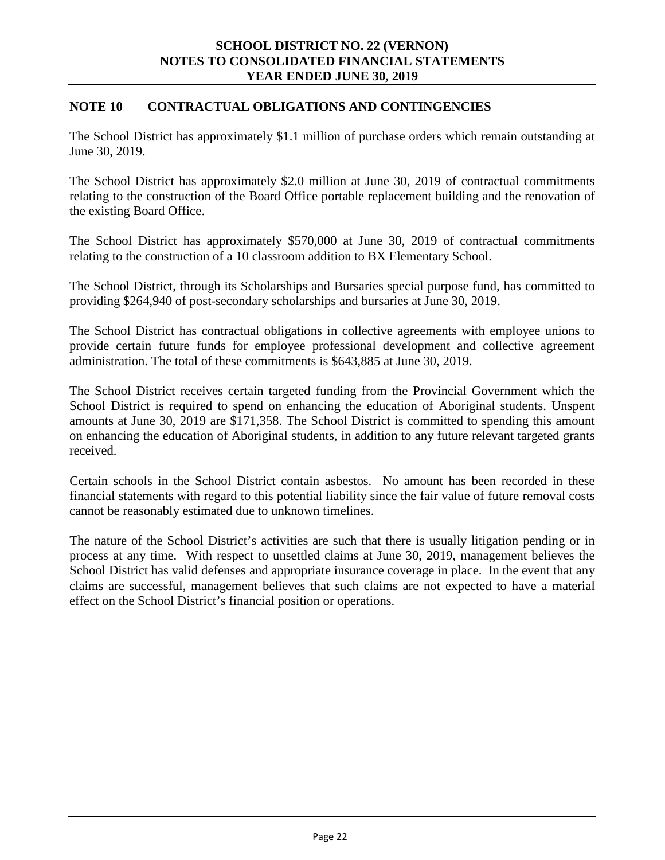#### **NOTE 10 CONTRACTUAL OBLIGATIONS AND CONTINGENCIES**

The School District has approximately \$1.1 million of purchase orders which remain outstanding at June 30, 2019.

The School District has approximately \$2.0 million at June 30, 2019 of contractual commitments relating to the construction of the Board Office portable replacement building and the renovation of the existing Board Office.

The School District has approximately \$570,000 at June 30, 2019 of contractual commitments relating to the construction of a 10 classroom addition to BX Elementary School.

The School District, through its Scholarships and Bursaries special purpose fund, has committed to providing \$264,940 of post-secondary scholarships and bursaries at June 30, 2019.

The School District has contractual obligations in collective agreements with employee unions to provide certain future funds for employee professional development and collective agreement administration. The total of these commitments is \$643,885 at June 30, 2019.

The School District receives certain targeted funding from the Provincial Government which the School District is required to spend on enhancing the education of Aboriginal students. Unspent amounts at June 30, 2019 are \$171,358. The School District is committed to spending this amount on enhancing the education of Aboriginal students, in addition to any future relevant targeted grants received.

Certain schools in the School District contain asbestos. No amount has been recorded in these financial statements with regard to this potential liability since the fair value of future removal costs cannot be reasonably estimated due to unknown timelines.

The nature of the School District's activities are such that there is usually litigation pending or in process at any time. With respect to unsettled claims at June 30, 2019, management believes the School District has valid defenses and appropriate insurance coverage in place. In the event that any claims are successful, management believes that such claims are not expected to have a material effect on the School District's financial position or operations.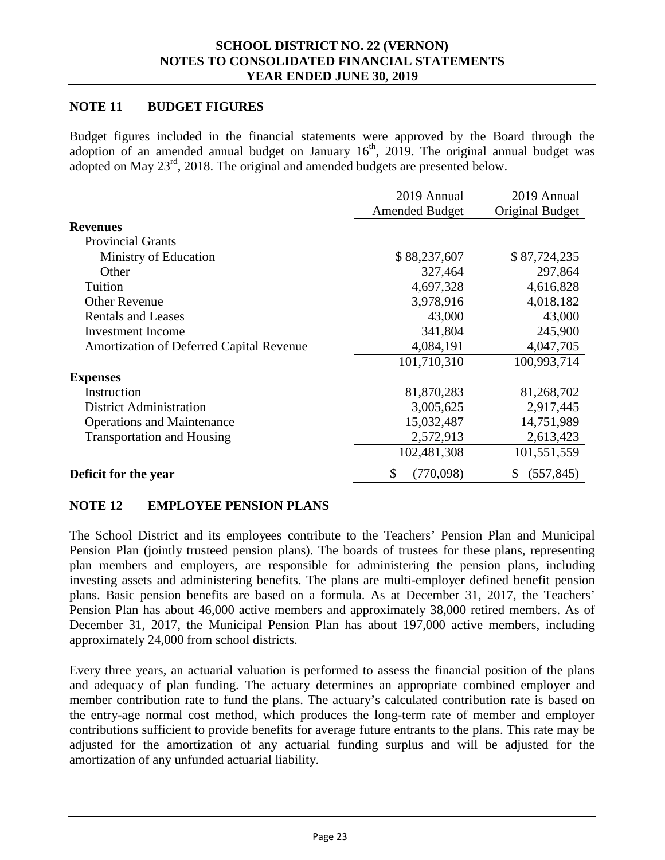#### **NOTE 11 BUDGET FIGURES**

Budget figures included in the financial statements were approved by the Board through the adoption of an amended annual budget on January  $16<sup>th</sup>$ , 2019. The original annual budget was adopted on May 23rd, 2018. The original and amended budgets are presented below.

|                                          | 2019 Annual           | 2019 Annual      |
|------------------------------------------|-----------------------|------------------|
|                                          | <b>Amended Budget</b> | Original Budget  |
| <b>Revenues</b>                          |                       |                  |
| <b>Provincial Grants</b>                 |                       |                  |
| Ministry of Education                    | \$88,237,607          | \$87,724,235     |
| Other                                    | 327,464               | 297,864          |
| Tuition                                  | 4,697,328             | 4,616,828        |
| <b>Other Revenue</b>                     | 3,978,916             | 4,018,182        |
| <b>Rentals and Leases</b>                | 43,000                | 43,000           |
| Investment Income                        | 341,804               | 245,900          |
| Amortization of Deferred Capital Revenue | 4,084,191             | 4,047,705        |
|                                          | 101,710,310           | 100,993,714      |
| <b>Expenses</b>                          |                       |                  |
| Instruction                              | 81,870,283            | 81,268,702       |
| <b>District Administration</b>           | 3,005,625             | 2,917,445        |
| <b>Operations and Maintenance</b>        | 15,032,487            | 14,751,989       |
| <b>Transportation and Housing</b>        | 2,572,913             | 2,613,423        |
|                                          | 102,481,308           | 101,551,559      |
| Deficit for the year                     | \$<br>(770,098)       | (557, 845)<br>\$ |

#### **NOTE 12 EMPLOYEE PENSION PLANS**

The School District and its employees contribute to the Teachers' Pension Plan and Municipal Pension Plan (jointly trusteed pension plans). The boards of trustees for these plans, representing plan members and employers, are responsible for administering the pension plans, including investing assets and administering benefits. The plans are multi-employer defined benefit pension plans. Basic pension benefits are based on a formula. As at December 31, 2017, the Teachers' Pension Plan has about 46,000 active members and approximately 38,000 retired members. As of December 31, 2017, the Municipal Pension Plan has about 197,000 active members, including approximately 24,000 from school districts.

Every three years, an actuarial valuation is performed to assess the financial position of the plans and adequacy of plan funding. The actuary determines an appropriate combined employer and member contribution rate to fund the plans. The actuary's calculated contribution rate is based on the entry-age normal cost method, which produces the long-term rate of member and employer contributions sufficient to provide benefits for average future entrants to the plans. This rate may be adjusted for the amortization of any actuarial funding surplus and will be adjusted for the amortization of any unfunded actuarial liability.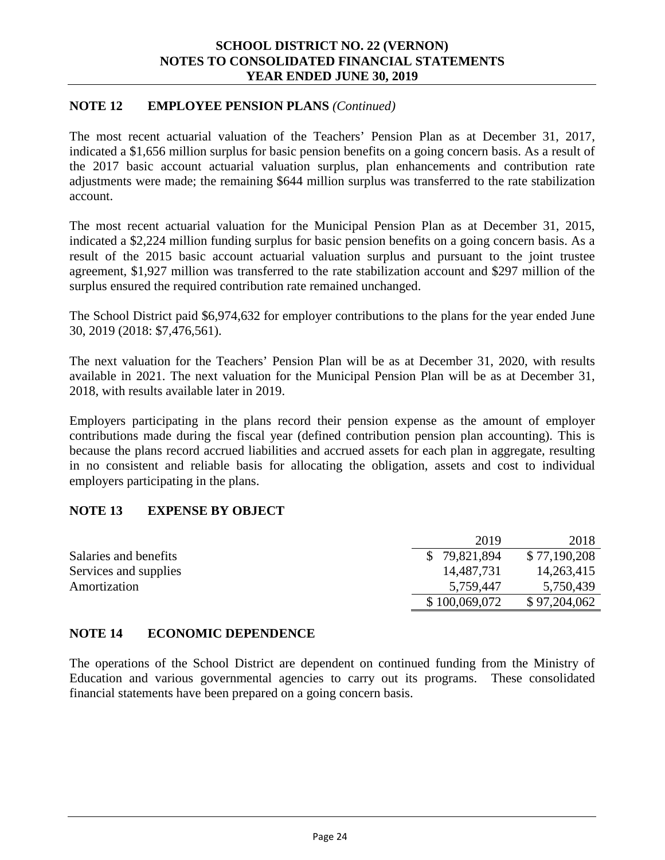#### **NOTE 12 EMPLOYEE PENSION PLANS** *(Continued)*

The most recent actuarial valuation of the Teachers' Pension Plan as at December 31, 2017, indicated a \$1,656 million surplus for basic pension benefits on a going concern basis. As a result of the 2017 basic account actuarial valuation surplus, plan enhancements and contribution rate adjustments were made; the remaining \$644 million surplus was transferred to the rate stabilization account.

The most recent actuarial valuation for the Municipal Pension Plan as at December 31, 2015, indicated a \$2,224 million funding surplus for basic pension benefits on a going concern basis. As a result of the 2015 basic account actuarial valuation surplus and pursuant to the joint trustee agreement, \$1,927 million was transferred to the rate stabilization account and \$297 million of the surplus ensured the required contribution rate remained unchanged.

The School District paid \$6,974,632 for employer contributions to the plans for the year ended June 30, 2019 (2018: \$7,476,561).

The next valuation for the Teachers' Pension Plan will be as at December 31, 2020, with results available in 2021. The next valuation for the Municipal Pension Plan will be as at December 31, 2018, with results available later in 2019.

Employers participating in the plans record their pension expense as the amount of employer contributions made during the fiscal year (defined contribution pension plan accounting). This is because the plans record accrued liabilities and accrued assets for each plan in aggregate, resulting in no consistent and reliable basis for allocating the obligation, assets and cost to individual employers participating in the plans.

#### **NOTE 13 EXPENSE BY OBJECT**

|                       | 2019          | 2018         |
|-----------------------|---------------|--------------|
| Salaries and benefits | \$79,821,894  | \$77,190,208 |
| Services and supplies | 14,487,731    | 14, 263, 415 |
| Amortization          | 5,759,447     | 5,750,439    |
|                       | \$100,069,072 | \$97,204,062 |

#### **NOTE 14 ECONOMIC DEPENDENCE**

The operations of the School District are dependent on continued funding from the Ministry of Education and various governmental agencies to carry out its programs. These consolidated financial statements have been prepared on a going concern basis.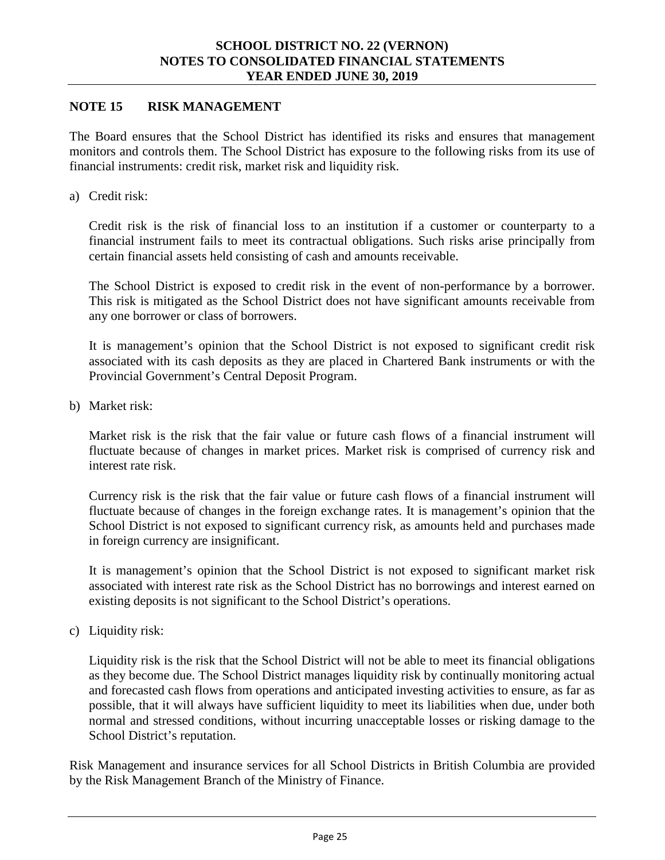#### **NOTE 15 RISK MANAGEMENT**

The Board ensures that the School District has identified its risks and ensures that management monitors and controls them. The School District has exposure to the following risks from its use of financial instruments: credit risk, market risk and liquidity risk.

a) Credit risk:

Credit risk is the risk of financial loss to an institution if a customer or counterparty to a financial instrument fails to meet its contractual obligations. Such risks arise principally from certain financial assets held consisting of cash and amounts receivable.

The School District is exposed to credit risk in the event of non-performance by a borrower. This risk is mitigated as the School District does not have significant amounts receivable from any one borrower or class of borrowers.

It is management's opinion that the School District is not exposed to significant credit risk associated with its cash deposits as they are placed in Chartered Bank instruments or with the Provincial Government's Central Deposit Program.

b) Market risk:

Market risk is the risk that the fair value or future cash flows of a financial instrument will fluctuate because of changes in market prices. Market risk is comprised of currency risk and interest rate risk.

Currency risk is the risk that the fair value or future cash flows of a financial instrument will fluctuate because of changes in the foreign exchange rates. It is management's opinion that the School District is not exposed to significant currency risk, as amounts held and purchases made in foreign currency are insignificant.

It is management's opinion that the School District is not exposed to significant market risk associated with interest rate risk as the School District has no borrowings and interest earned on existing deposits is not significant to the School District's operations.

c) Liquidity risk:

Liquidity risk is the risk that the School District will not be able to meet its financial obligations as they become due. The School District manages liquidity risk by continually monitoring actual and forecasted cash flows from operations and anticipated investing activities to ensure, as far as possible, that it will always have sufficient liquidity to meet its liabilities when due, under both normal and stressed conditions, without incurring unacceptable losses or risking damage to the School District's reputation.

Risk Management and insurance services for all School Districts in British Columbia are provided by the Risk Management Branch of the Ministry of Finance.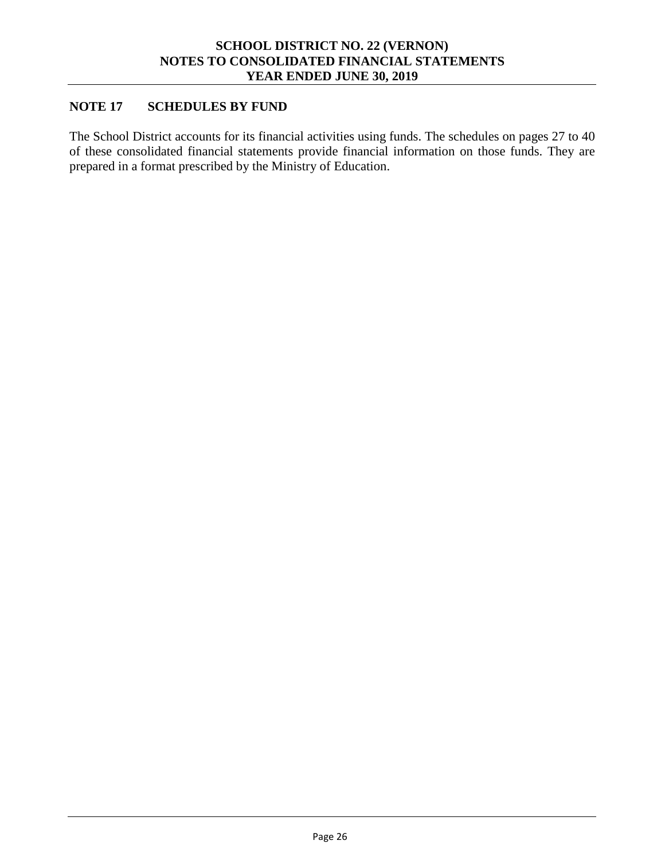#### **NOTE 17 SCHEDULES BY FUND**

The School District accounts for its financial activities using funds. The schedules on pages 27 to 40 of these consolidated financial statements provide financial information on those funds. They are prepared in a format prescribed by the Ministry of Education.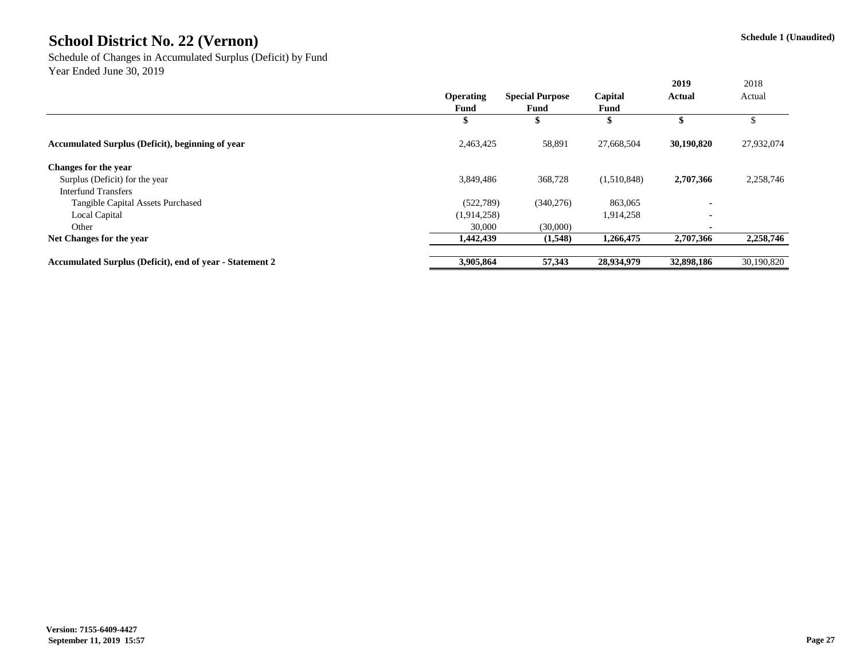Schedule of Changes in Accumulated Surplus (Deficit) by Fund Year Ended June 30, 2019

|                                                                 |                  |                        |             | 2019          | 2018       |
|-----------------------------------------------------------------|------------------|------------------------|-------------|---------------|------------|
|                                                                 | <b>Operating</b> | <b>Special Purpose</b> | Capital     | <b>Actual</b> | Actual     |
|                                                                 | <b>Fund</b>      | <b>Fund</b>            | <b>Fund</b> |               |            |
|                                                                 | ъ                | \$                     | \$          |               |            |
| <b>Accumulated Surplus (Deficit), beginning of year</b>         | 2,463,425        | 58,891                 | 27,668,504  | 30,190,820    | 27,932,074 |
| <b>Changes for the year</b>                                     |                  |                        |             |               |            |
| Surplus (Deficit) for the year                                  | 3,849,486        | 368,728                | (1,510,848) | 2,707,366     | 2,258,746  |
| <b>Interfund Transfers</b>                                      |                  |                        |             |               |            |
| <b>Tangible Capital Assets Purchased</b>                        | (522, 789)       | (340,276)              | 863,065     |               |            |
| Local Capital                                                   | (1,914,258)      |                        | 1,914,258   |               |            |
| Other                                                           | 30,000           | (30,000)               |             |               |            |
| Net Changes for the year                                        | 1,442,439        | (1,548)                | 1,266,475   | 2,707,366     | 2,258,746  |
| <b>Accumulated Surplus (Deficit), end of year - Statement 2</b> | 3,905,864        | 57,343                 | 28,934,979  | 32,898,186    | 30,190,820 |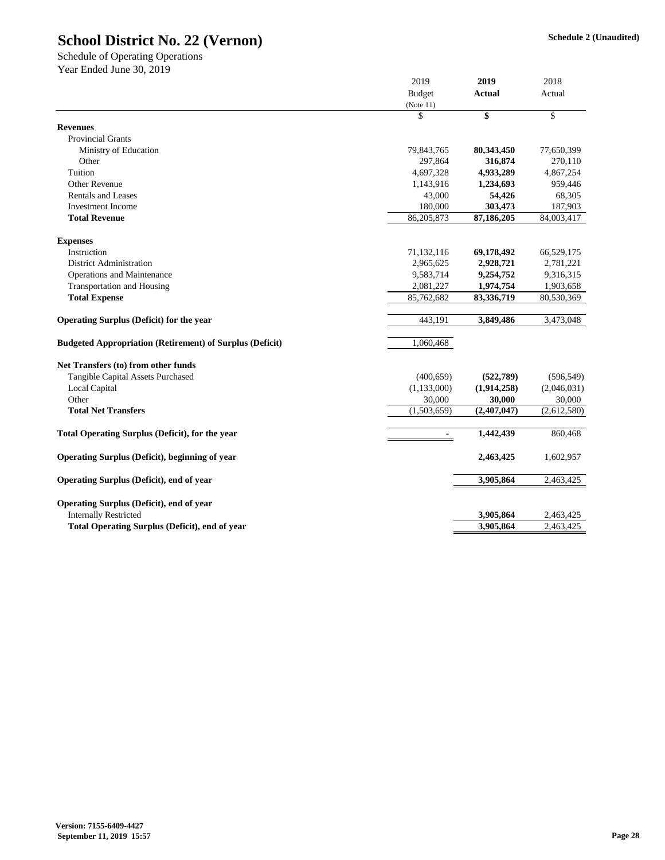|                                                                 | 2019          | 2019          | 2018        |
|-----------------------------------------------------------------|---------------|---------------|-------------|
|                                                                 | <b>Budget</b> | <b>Actual</b> | Actual      |
|                                                                 | (Note 11)     |               |             |
|                                                                 | \$            | \$            | \$          |
| <b>Revenues</b>                                                 |               |               |             |
| <b>Provincial Grants</b>                                        |               |               |             |
| Ministry of Education                                           | 79,843,765    | 80, 343, 450  | 77,650,399  |
| Other                                                           | 297,864       | 316,874       | 270,110     |
| Tuition                                                         | 4,697,328     | 4,933,289     | 4,867,254   |
| <b>Other Revenue</b>                                            | 1,143,916     | 1,234,693     | 959,446     |
| <b>Rentals and Leases</b>                                       | 43,000        | 54,426        | 68,305      |
| <b>Investment Income</b>                                        | 180,000       | 303,473       | 187,903     |
| <b>Total Revenue</b>                                            | 86,205,873    | 87,186,205    | 84,003,417  |
| <b>Expenses</b>                                                 |               |               |             |
| Instruction                                                     | 71,132,116    | 69,178,492    | 66,529,175  |
| <b>District Administration</b>                                  | 2,965,625     | 2,928,721     | 2,781,221   |
| <b>Operations and Maintenance</b>                               | 9,583,714     | 9,254,752     | 9,316,315   |
| <b>Transportation and Housing</b>                               | 2,081,227     | 1,974,754     | 1,903,658   |
| <b>Total Expense</b>                                            | 85,762,682    | 83,336,719    | 80,530,369  |
| <b>Operating Surplus (Deficit) for the year</b>                 | 443,191       | 3,849,486     | 3,473,048   |
| <b>Budgeted Appropriation (Retirement) of Surplus (Deficit)</b> | 1,060,468     |               |             |
| Net Transfers (to) from other funds                             |               |               |             |
| Tangible Capital Assets Purchased                               | (400, 659)    | (522, 789)    | (596, 549)  |
| Local Capital                                                   | (1,133,000)   | (1,914,258)   | (2,046,031) |
| Other                                                           | 30,000        | 30,000        | 30,000      |
| <b>Total Net Transfers</b>                                      | (1,503,659)   | (2,407,047)   | (2,612,580) |
|                                                                 |               |               |             |
| <b>Total Operating Surplus (Deficit), for the year</b>          |               | 1,442,439     | 860,468     |
| <b>Operating Surplus (Deficit), beginning of year</b>           |               | 2,463,425     | 1,602,957   |
| <b>Operating Surplus (Deficit), end of year</b>                 |               | 3,905,864     | 2,463,425   |
| <b>Operating Surplus (Deficit), end of year</b>                 |               |               |             |
| <b>Internally Restricted</b>                                    |               | 3,905,864     | 2,463,425   |
| <b>Total Operating Surplus (Deficit), end of year</b>           |               | 3,905,864     | 2,463,425   |

Schedule of Operating Operations Year Ended June 30, 2019

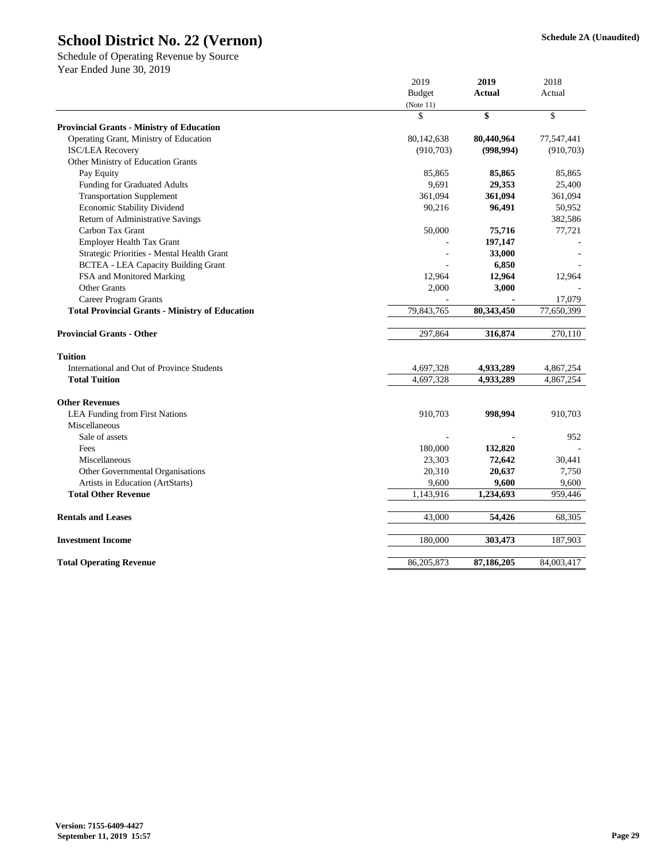|                                                        | 2019          | 2019          | 2018       |
|--------------------------------------------------------|---------------|---------------|------------|
|                                                        | <b>Budget</b> | <b>Actual</b> | Actual     |
|                                                        | (Note 11)     |               |            |
|                                                        | \$            | \$            | \$         |
| <b>Provincial Grants - Ministry of Education</b>       |               |               |            |
| Operating Grant, Ministry of Education                 | 80,142,638    | 80,440,964    | 77,547,441 |
| <b>ISC/LEA Recovery</b>                                | (910, 703)    | (998, 994)    | (910, 703) |
| <b>Other Ministry of Education Grants</b>              |               |               |            |
| Pay Equity                                             | 85,865        | 85,865        | 85,865     |
| <b>Funding for Graduated Adults</b>                    | 9,691         | 29,353        | 25,400     |
| <b>Transportation Supplement</b>                       | 361,094       | 361,094       | 361,094    |
| Economic Stability Dividend                            | 90,216        | 96,491        | 50,952     |
| Return of Administrative Savings                       |               |               | 382,586    |
| Carbon Tax Grant                                       | 50,000        | 75,716        | 77,721     |
| <b>Employer Health Tax Grant</b>                       |               | 197,147       |            |
| Strategic Priorities - Mental Health Grant             |               | 33,000        |            |
| <b>BCTEA - LEA Capacity Building Grant</b>             |               | 6,850         |            |
| FSA and Monitored Marking                              | 12,964        | 12,964        | 12,964     |
| <b>Other Grants</b>                                    | 2,000         | 3,000         |            |
| <b>Career Program Grants</b>                           |               |               | 17,079     |
| <b>Total Provincial Grants - Ministry of Education</b> | 79,843,765    | 80,343,450    | 77,650,399 |
|                                                        |               |               |            |
| <b>Provincial Grants - Other</b>                       | 297,864       | 316,874       | 270,110    |
| <b>Tuition</b>                                         |               |               |            |
| International and Out of Province Students             | 4,697,328     | 4,933,289     | 4,867,254  |
| <b>Total Tuition</b>                                   | 4,697,328     | 4,933,289     | 4,867,254  |
|                                                        |               |               |            |
| <b>Other Revenues</b>                                  |               |               |            |
| <b>LEA Funding from First Nations</b>                  | 910,703       | 998,994       | 910,703    |
| Miscellaneous                                          |               |               |            |
| Sale of assets                                         |               |               | 952        |
| Fees<br>Miscellaneous                                  | 180,000       | 132,820       |            |
|                                                        | 23,303        | 72,642        | 30,441     |
| Other Governmental Organisations                       | 20,310        | 20,637        | 7,750      |
| <b>Artists in Education (ArtStarts)</b>                | 9,600         | 9,600         | 9,600      |
| <b>Total Other Revenue</b>                             | 1,143,916     | 1,234,693     | 959,446    |
| <b>Rentals and Leases</b>                              | 43,000        | 54,426        | 68,305     |
| <b>Investment Income</b>                               | 180,000       | 303,473       | 187,903    |
| <b>Total Operating Revenue</b>                         | 86,205,873    | 87,186,205    | 84,003,417 |
|                                                        |               |               |            |

Schedule of Operating Revenue by Source Year Ended June 30, 2019

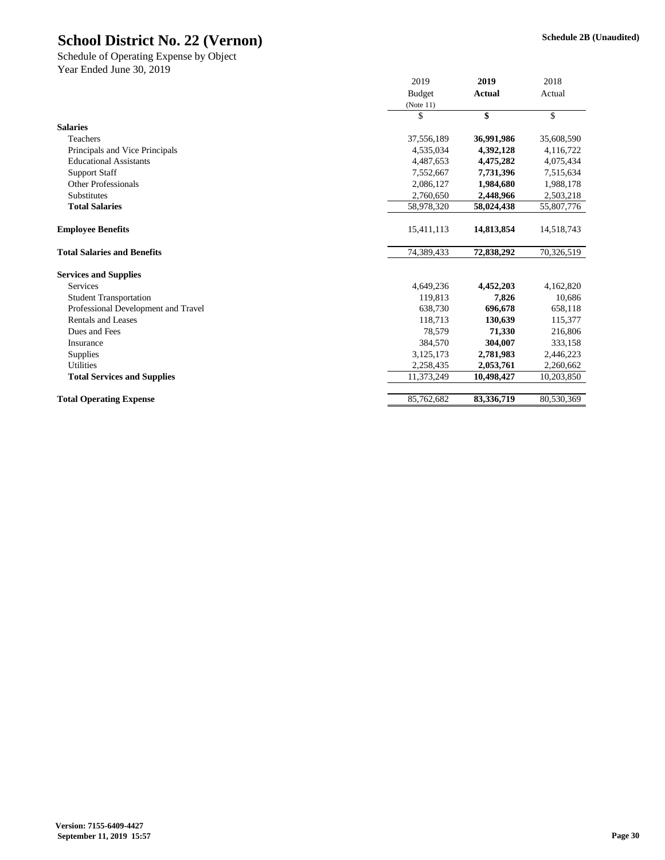|                                     | 2019          | 2019          | 2018       |
|-------------------------------------|---------------|---------------|------------|
|                                     | <b>Budget</b> | <b>Actual</b> | Actual     |
|                                     | (Note 11)     |               |            |
|                                     | \$            | \$            | \$         |
| <b>Salaries</b>                     |               |               |            |
| Teachers                            | 37,556,189    | 36,991,986    | 35,608,590 |
| Principals and Vice Principals      | 4,535,034     | 4,392,128     | 4,116,722  |
| <b>Educational Assistants</b>       | 4,487,653     | 4,475,282     | 4,075,434  |
| <b>Support Staff</b>                | 7,552,667     | 7,731,396     | 7,515,634  |
| <b>Other Professionals</b>          | 2,086,127     | 1,984,680     | 1,988,178  |
| Substitutes                         | 2,760,650     | 2,448,966     | 2,503,218  |
| <b>Total Salaries</b>               | 58,978,320    | 58,024,438    | 55,807,776 |
| <b>Employee Benefits</b>            | 15,411,113    | 14,813,854    | 14,518,743 |
| <b>Total Salaries and Benefits</b>  | 74,389,433    | 72,838,292    | 70,326,519 |
| <b>Services and Supplies</b>        |               |               |            |
| <b>Services</b>                     | 4,649,236     | 4,452,203     | 4,162,820  |
| <b>Student Transportation</b>       | 119,813       | 7,826         | 10,686     |
| Professional Development and Travel | 638,730       | 696,678       | 658,118    |
| <b>Rentals and Leases</b>           | 118,713       | 130,639       | 115,377    |
| Dues and Fees                       | 78,579        | 71,330        | 216,806    |
| Insurance                           | 384,570       | 304,007       | 333,158    |
| Supplies                            | 3,125,173     | 2,781,983     | 2,446,223  |
| <b>Utilities</b>                    | 2,258,435     | 2,053,761     | 2,260,662  |
| <b>Total Services and Supplies</b>  | 11,373,249    | 10,498,427    | 10,203,850 |
| <b>Total Operating Expense</b>      | 85,762,682    | 83,336,719    | 80,530,369 |

Year Ended June 30, 2019 Schedule of Operating Expense by Object

### **School District No. 22 (Vernon)**

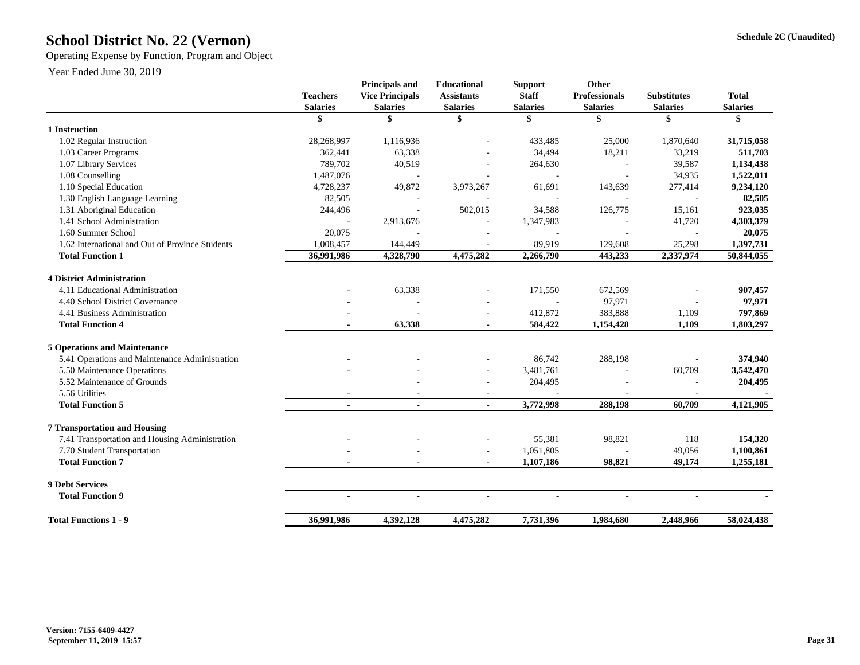### **Schedule 2C (Unaudited) School District No. 22 (Vernon)**

Operating Expense by Function, Program and Object

|                                                 | <b>Teachers</b><br><b>Salaries</b> | <b>Principals and</b><br><b>Vice Principals</b><br><b>Salaries</b> | <b>Educational</b><br><b>Assistants</b><br><b>Salaries</b> | <b>Support</b><br><b>Staff</b><br><b>Salaries</b> | <b>Other</b><br><b>Professionals</b><br><b>Salaries</b> | <b>Substitutes</b><br><b>Salaries</b> | <b>Total</b><br><b>Salaries</b> |
|-------------------------------------------------|------------------------------------|--------------------------------------------------------------------|------------------------------------------------------------|---------------------------------------------------|---------------------------------------------------------|---------------------------------------|---------------------------------|
|                                                 | \$                                 |                                                                    | \$                                                         | S                                                 |                                                         |                                       | Ж                               |
| 1 Instruction                                   |                                    |                                                                    |                                                            |                                                   |                                                         |                                       |                                 |
| 1.02 Regular Instruction                        | 28,268,997                         | 1,116,936                                                          |                                                            | 433,485                                           | 25,000                                                  | 1,870,640                             | 31,715,058                      |
| 1.03 Career Programs                            | 362,441                            | 63,338                                                             |                                                            | 34,494                                            | 18,211                                                  | 33,219                                | 511,703                         |
| 1.07 Library Services                           | 789,702                            | 40,519                                                             |                                                            | 264,630                                           |                                                         | 39,587                                | 1,134,438                       |
| 1.08 Counselling                                | 1,487,076                          |                                                                    |                                                            |                                                   |                                                         | 34,935                                | 1,522,011                       |
| 1.10 Special Education                          | 4,728,237                          | 49,872                                                             | 3,973,267                                                  | 61,691                                            | 143,639                                                 | 277,414                               | 9,234,120                       |
| 1.30 English Language Learning                  | 82,505                             |                                                                    |                                                            |                                                   |                                                         |                                       | 82,505                          |
| 1.31 Aboriginal Education                       | 244,496                            | $\overline{\phantom{a}}$                                           | 502,015                                                    | 34,588                                            | 126,775                                                 | 15,161                                | 923,035                         |
| 1.41 School Administration                      |                                    | 2,913,676                                                          |                                                            | 1,347,983                                         |                                                         | 41,720                                | 4,303,379                       |
| 1.60 Summer School                              | 20,075                             |                                                                    |                                                            |                                                   |                                                         |                                       | 20,075                          |
| 1.62 International and Out of Province Students | 1,008,457                          | 144,449                                                            |                                                            | 89,919                                            | 129,608                                                 | 25,298                                | 1,397,731                       |
| <b>Total Function 1</b>                         | 36,991,986                         | 4,328,790                                                          | 4,475,282                                                  | 2,266,790                                         | 443,233                                                 | 2,337,974                             | 50,844,055                      |
| <b>4 District Administration</b>                |                                    |                                                                    |                                                            |                                                   |                                                         |                                       |                                 |
| 4.11 Educational Administration                 |                                    | 63,338                                                             |                                                            | 171,550                                           | 672,569                                                 |                                       | 907,457                         |
| 4.40 School District Governance                 |                                    |                                                                    |                                                            |                                                   | 97,971                                                  |                                       | 97,971                          |
| 4.41 Business Administration                    |                                    |                                                                    |                                                            | 412,872                                           | 383,888                                                 | 1,109                                 | 797,869                         |
| <b>Total Function 4</b>                         |                                    | 63,338                                                             | $\blacksquare$                                             | 584,422                                           | 1,154,428                                               | 1,109                                 | 1,803,297                       |
| <b>5 Operations and Maintenance</b>             |                                    |                                                                    |                                                            |                                                   |                                                         |                                       |                                 |
| 5.41 Operations and Maintenance Administration  |                                    |                                                                    |                                                            | 86,742                                            | 288,198                                                 |                                       | 374,940                         |
| 5.50 Maintenance Operations                     |                                    |                                                                    | $\overline{\phantom{a}}$                                   | 3,481,761                                         |                                                         | 60,709                                | 3,542,470                       |
| 5.52 Maintenance of Grounds                     |                                    |                                                                    |                                                            | 204,495                                           |                                                         |                                       | 204,495                         |
| 5.56 Utilities                                  |                                    |                                                                    |                                                            |                                                   |                                                         |                                       |                                 |
| <b>Total Function 5</b>                         | $\sim$                             | $\blacksquare$                                                     | $\blacksquare$                                             | 3,772,998                                         | 288,198                                                 | 60,709                                | 4,121,905                       |
| <b>7 Transportation and Housing</b>             |                                    |                                                                    |                                                            |                                                   |                                                         |                                       |                                 |
| 7.41 Transportation and Housing Administration  |                                    |                                                                    |                                                            | 55,381                                            | 98,821                                                  | 118                                   | 154,320                         |
| 7.70 Student Transportation                     |                                    |                                                                    |                                                            | 1,051,805                                         |                                                         | 49,056                                | 1,100,861                       |
| <b>Total Function 7</b>                         |                                    |                                                                    | $\blacksquare$                                             | 1,107,186                                         | 98,821                                                  | 49,174                                | 1,255,181                       |
| <b>9 Debt Services</b>                          |                                    |                                                                    |                                                            |                                                   |                                                         |                                       |                                 |
| <b>Total Function 9</b>                         | $\blacksquare$                     | $\blacksquare$                                                     | $\blacksquare$                                             | $\blacksquare$                                    |                                                         | $\blacksquare$                        |                                 |
| <b>Total Functions 1 - 9</b>                    | 36,991,986                         | 4,392,128                                                          | 4,475,282                                                  | 7,731,396                                         | 1,984,680                                               | 2,448,966                             | 58,024,438                      |

Year Ended June 30, 2019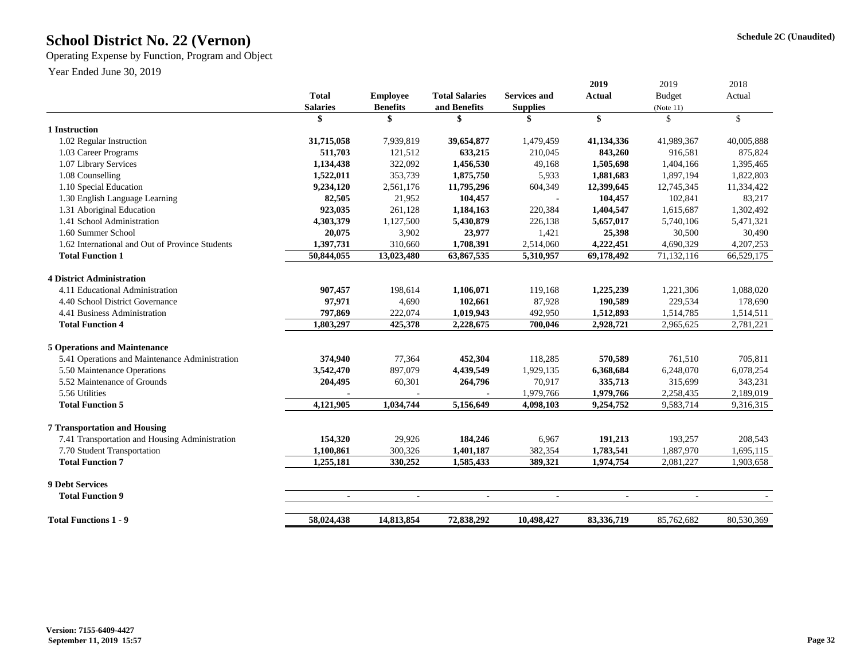### **Schedule 2C (Unaudited) School District No. 22 (Vernon)**

Operating Expense by Function, Program and Object

Year Ended June 30, 2019

|                 |                                                                                              |                                                                                      |                                                                                                   | 2019                                                                                 | 2019                                                                                              | 2018                                                                                              |
|-----------------|----------------------------------------------------------------------------------------------|--------------------------------------------------------------------------------------|---------------------------------------------------------------------------------------------------|--------------------------------------------------------------------------------------|---------------------------------------------------------------------------------------------------|---------------------------------------------------------------------------------------------------|
| <b>Total</b>    | <b>Employee</b>                                                                              | <b>Total Salaries</b>                                                                | <b>Services and</b>                                                                               | <b>Actual</b>                                                                        | <b>Budget</b>                                                                                     | Actual                                                                                            |
| <b>Salaries</b> | <b>Benefits</b>                                                                              | and Benefits                                                                         | <b>Supplies</b>                                                                                   |                                                                                      | (Note $11$ )                                                                                      |                                                                                                   |
| \$              | -SS                                                                                          | \$                                                                                   |                                                                                                   | \$                                                                                   | \$                                                                                                | \$                                                                                                |
|                 |                                                                                              |                                                                                      |                                                                                                   |                                                                                      |                                                                                                   |                                                                                                   |
| 31,715,058      | 7,939,819                                                                                    | 39,654,877                                                                           | 1,479,459                                                                                         | 41,134,336                                                                           | 41,989,367                                                                                        | 40,005,888                                                                                        |
| 511,703         | 121,512                                                                                      | 633,215                                                                              | 210,045                                                                                           | 843,260                                                                              | 916,581                                                                                           | 875,824                                                                                           |
| 1,134,438       | 322,092                                                                                      | 1,456,530                                                                            | 49,168                                                                                            | 1,505,698                                                                            | 1,404,166                                                                                         | 1,395,465                                                                                         |
| 1,522,011       | 353,739                                                                                      | 1,875,750                                                                            | 5,933                                                                                             | 1,881,683                                                                            | 1,897,194                                                                                         | 1,822,803                                                                                         |
| 9,234,120       | 2,561,176                                                                                    | 11,795,296                                                                           | 604,349                                                                                           | 12,399,645                                                                           | 12,745,345                                                                                        | 11,334,422                                                                                        |
| 82,505          | 21,952                                                                                       | 104,457                                                                              |                                                                                                   | 104,457                                                                              | 102,841                                                                                           | 83,217                                                                                            |
| 923,035         | 261,128                                                                                      | 1,184,163                                                                            | 220,384                                                                                           | 1,404,547                                                                            | 1,615,687                                                                                         | 1,302,492                                                                                         |
| 4,303,379       | 1,127,500                                                                                    | 5,430,879                                                                            | 226,138                                                                                           | 5,657,017                                                                            | 5,740,106                                                                                         | 5,471,321                                                                                         |
| 20,075          | 3,902                                                                                        | 23,977                                                                               | 1,421                                                                                             | 25,398                                                                               | 30,500                                                                                            | 30,490                                                                                            |
| 1,397,731       | 310,660                                                                                      | 1,708,391                                                                            | 2,514,060                                                                                         | 4,222,451                                                                            | 4,690,329                                                                                         | 4,207,253                                                                                         |
| 50,844,055      | 13,023,480                                                                                   | 63,867,535                                                                           | 5,310,957                                                                                         | 69,178,492                                                                           | 71,132,116                                                                                        | 66,529,175                                                                                        |
|                 |                                                                                              |                                                                                      |                                                                                                   |                                                                                      |                                                                                                   |                                                                                                   |
|                 |                                                                                              |                                                                                      |                                                                                                   |                                                                                      |                                                                                                   |                                                                                                   |
|                 |                                                                                              |                                                                                      |                                                                                                   |                                                                                      |                                                                                                   | 1,088,020                                                                                         |
|                 |                                                                                              |                                                                                      |                                                                                                   |                                                                                      |                                                                                                   | 178,690                                                                                           |
|                 |                                                                                              |                                                                                      |                                                                                                   |                                                                                      |                                                                                                   | 1,514,511                                                                                         |
|                 |                                                                                              |                                                                                      |                                                                                                   |                                                                                      |                                                                                                   | 2,781,221                                                                                         |
|                 |                                                                                              |                                                                                      |                                                                                                   |                                                                                      |                                                                                                   |                                                                                                   |
| 374,940         | 77,364                                                                                       | 452,304                                                                              | 118,285                                                                                           | 570,589                                                                              | 761,510                                                                                           | 705,811                                                                                           |
| 3,542,470       | 897,079                                                                                      | 4,439,549                                                                            | 1,929,135                                                                                         | 6,368,684                                                                            | 6,248,070                                                                                         | 6,078,254                                                                                         |
| 204,495         | 60,301                                                                                       | 264,796                                                                              | 70,917                                                                                            | 335,713                                                                              | 315,699                                                                                           | 343,231                                                                                           |
|                 |                                                                                              |                                                                                      | 1,979,766                                                                                         | 1,979,766                                                                            | 2,258,435                                                                                         | 2,189,019                                                                                         |
| 4,121,905       | 1,034,744                                                                                    | 5,156,649                                                                            | 4,098,103                                                                                         | 9,254,752                                                                            | 9,583,714                                                                                         | 9,316,315                                                                                         |
|                 |                                                                                              |                                                                                      |                                                                                                   |                                                                                      |                                                                                                   |                                                                                                   |
|                 |                                                                                              |                                                                                      |                                                                                                   |                                                                                      |                                                                                                   | 208,543                                                                                           |
|                 |                                                                                              |                                                                                      |                                                                                                   |                                                                                      |                                                                                                   | 1,695,115                                                                                         |
|                 |                                                                                              |                                                                                      |                                                                                                   |                                                                                      |                                                                                                   | 1,903,658                                                                                         |
|                 |                                                                                              |                                                                                      |                                                                                                   |                                                                                      |                                                                                                   |                                                                                                   |
|                 |                                                                                              |                                                                                      |                                                                                                   |                                                                                      |                                                                                                   |                                                                                                   |
| $\blacksquare$  | $\blacksquare$                                                                               | $\blacksquare$                                                                       | $\blacksquare$                                                                                    | $\blacksquare$                                                                       | $\overline{\phantom{a}}$                                                                          |                                                                                                   |
|                 |                                                                                              |                                                                                      |                                                                                                   |                                                                                      |                                                                                                   | 80,530,369                                                                                        |
|                 | 907,457<br>97,971<br>797,869<br>1,803,297<br>154,320<br>1,100,861<br>1,255,181<br>58,024,438 | 198,614<br>4,690<br>222,074<br>425,378<br>29,926<br>300,326<br>330,252<br>14,813,854 | 1,106,071<br>102,661<br>1,019,943<br>2,228,675<br>184,246<br>1,401,187<br>1,585,433<br>72,838,292 | 119,168<br>87,928<br>492,950<br>700,046<br>6,967<br>382,354<br>389,321<br>10,498,427 | 1,225,239<br>190,589<br>1,512,893<br>2,928,721<br>191,213<br>1,783,541<br>1,974,754<br>83,336,719 | 1,221,306<br>229,534<br>1,514,785<br>2,965,625<br>193,257<br>1,887,970<br>2,081,227<br>85,762,682 |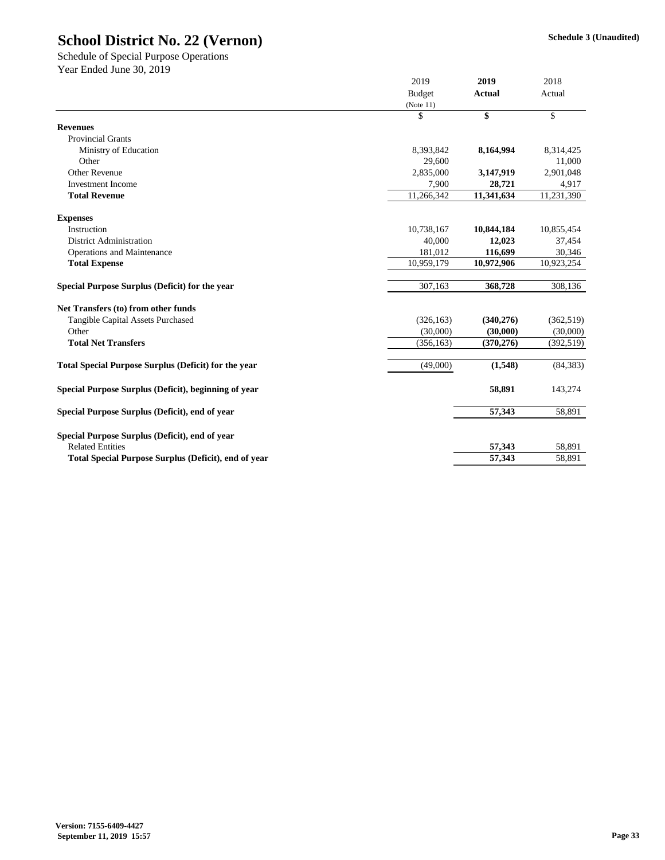|                                                             | 2019          | 2019          | 2018       |
|-------------------------------------------------------------|---------------|---------------|------------|
|                                                             | <b>Budget</b> | <b>Actual</b> | Actual     |
|                                                             | (Note 11)     |               |            |
|                                                             | \$            | \$            | \$         |
| <b>Revenues</b>                                             |               |               |            |
| <b>Provincial Grants</b>                                    |               |               |            |
| Ministry of Education                                       | 8,393,842     | 8,164,994     | 8,314,425  |
| Other                                                       | 29,600        |               | 11,000     |
| <b>Other Revenue</b>                                        | 2,835,000     | 3,147,919     | 2,901,048  |
| <b>Investment Income</b>                                    | 7,900         | 28,721        | 4,917      |
| <b>Total Revenue</b>                                        | 11,266,342    | 11,341,634    | 11,231,390 |
| <b>Expenses</b>                                             |               |               |            |
| Instruction                                                 | 10,738,167    | 10,844,184    | 10,855,454 |
| <b>District Administration</b>                              | 40,000        | 12,023        | 37,454     |
| <b>Operations and Maintenance</b>                           | 181,012       | 116,699       | 30,346     |
| <b>Total Expense</b>                                        | 10,959,179    | 10,972,906    | 10,923,254 |
| Special Purpose Surplus (Deficit) for the year              | 307,163       | 368,728       | 308,136    |
| Net Transfers (to) from other funds                         |               |               |            |
| <b>Tangible Capital Assets Purchased</b>                    | (326, 163)    | (340,276)     | (362, 519) |
| Other                                                       | (30,000)      | (30,000)      | (30,000)   |
| <b>Total Net Transfers</b>                                  | (356, 163)    | (370, 276)    | (392, 519) |
| <b>Total Special Purpose Surplus (Deficit) for the year</b> | (49,000)      | (1,548)       | (84, 383)  |
| Special Purpose Surplus (Deficit), beginning of year        |               | 58,891        | 143,274    |
| Special Purpose Surplus (Deficit), end of year              |               | 57,343        | 58,891     |
| Special Purpose Surplus (Deficit), end of year              |               |               |            |
| <b>Related Entities</b>                                     |               | 57,343        | 58,891     |
| <b>Total Special Purpose Surplus (Deficit), end of year</b> |               | 57,343        | 58,891     |

Year Ended June 30, 2019 Schedule of Special Purpose Operations

### **School District No. 22 (Vernon)**

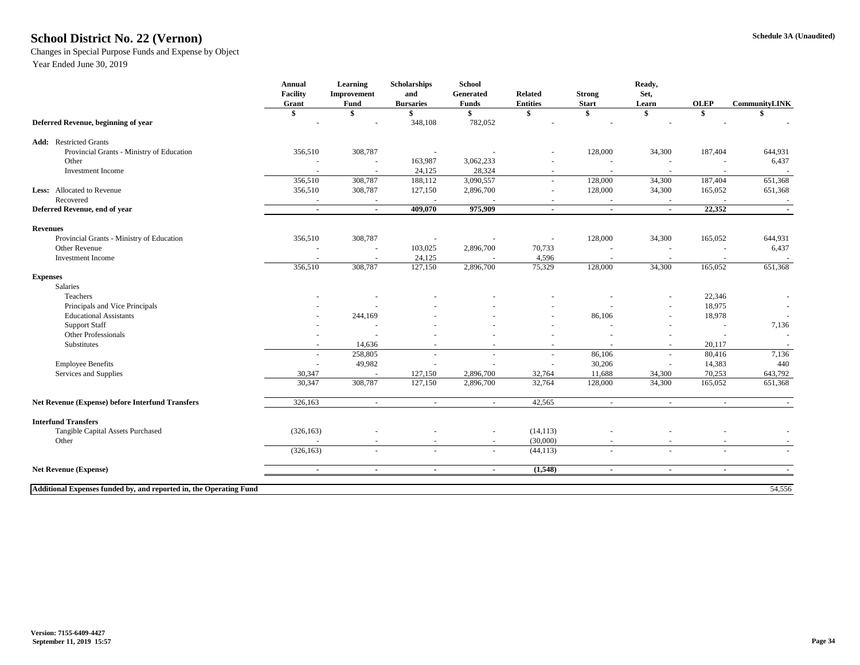### **Schedule 3A (Unaudited) School District No. 22 (Vernon)**

Changes in Special Purpose Funds and Expense by Object

|                                                                    | <b>Annual</b><br><b>Facility</b><br>Grant | <b>Learning</b><br>Improvement<br><b>Fund</b> | Scholarships<br>and<br><b>Bursaries</b> | <b>School</b><br>Generated<br><b>Funds</b> | <b>Related</b><br><b>Entities</b> | <b>Strong</b><br><b>Start</b> | Ready,<br>Set,<br>Learn  | <b>OLEP</b> | <b>CommunityLINK</b> |
|--------------------------------------------------------------------|-------------------------------------------|-----------------------------------------------|-----------------------------------------|--------------------------------------------|-----------------------------------|-------------------------------|--------------------------|-------------|----------------------|
|                                                                    | \$                                        |                                               |                                         |                                            |                                   | \$                            | \$                       |             |                      |
| Deferred Revenue, beginning of year                                |                                           |                                               | 348,108                                 | 782,052                                    |                                   |                               |                          |             |                      |
| <b>Add:</b> Restricted Grants                                      |                                           |                                               |                                         |                                            |                                   |                               |                          |             |                      |
| Provincial Grants - Ministry of Education                          | 356,510                                   | 308,787                                       |                                         |                                            |                                   | 128,000                       | 34,300                   | 187,404     | 644,931              |
| Other                                                              |                                           |                                               | 163,987                                 | 3,062,233                                  |                                   |                               |                          |             | 6,437                |
| <b>Investment Income</b>                                           |                                           |                                               | 24,125                                  | 28,324                                     | $\overline{\phantom{a}}$          |                               |                          |             |                      |
|                                                                    | 356,510                                   | 308,787                                       | 188,112                                 | 3,090,557                                  | $\sim$                            | 128,000                       | 34,300                   | 187,404     | 651,368              |
| <b>Less:</b> Allocated to Revenue                                  | 356,510                                   | 308,787                                       | 127,150                                 | 2,896,700                                  |                                   | 128,000                       | 34,300                   | 165,052     | 651,368              |
| Recovered                                                          |                                           |                                               |                                         |                                            |                                   |                               |                          |             |                      |
| Deferred Revenue, end of year                                      | $\blacksquare$                            | $\sim$                                        | 409,070                                 | 975,909                                    | $\sim$                            | $\sim$                        | $\sim$                   | 22,352      | $\sim$               |
| <b>Revenues</b>                                                    |                                           |                                               |                                         |                                            |                                   |                               |                          |             |                      |
| Provincial Grants - Ministry of Education                          | 356,510                                   | 308,787                                       |                                         |                                            | $\overline{\phantom{a}}$          | 128,000                       | 34,300                   | 165,052     | 644,931              |
| <b>Other Revenue</b>                                               |                                           |                                               | 103,025                                 | 2,896,700                                  | 70,733                            |                               |                          |             | 6,437                |
| <b>Investment Income</b>                                           |                                           |                                               | 24,125                                  |                                            | 4,596                             |                               |                          |             |                      |
|                                                                    | 356,510                                   | 308,787                                       | 127,150                                 | 2,896,700                                  | 75,329                            | 128,000                       | 34,300                   | 165,052     | 651,368              |
| <b>Expenses</b>                                                    |                                           |                                               |                                         |                                            |                                   |                               |                          |             |                      |
| Salaries                                                           |                                           |                                               |                                         |                                            |                                   |                               |                          |             |                      |
| Teachers                                                           |                                           |                                               |                                         |                                            |                                   |                               | $\overline{\phantom{a}}$ | 22,346      |                      |
| Principals and Vice Principals                                     |                                           |                                               |                                         |                                            |                                   |                               | $\overline{\phantom{a}}$ | 18,975      |                      |
| <b>Educational Assistants</b>                                      |                                           | 244,169                                       |                                         |                                            | $\overline{\phantom{a}}$          | 86,106                        | $\overline{\phantom{a}}$ | 18,978      |                      |
| <b>Support Staff</b>                                               |                                           |                                               |                                         |                                            | $\overline{\phantom{a}}$          |                               | $\overline{\phantom{a}}$ |             | 7,136                |
| <b>Other Professionals</b>                                         |                                           |                                               |                                         |                                            | $\overline{\phantom{a}}$          |                               |                          |             |                      |
| Substitutes                                                        |                                           | 14,636                                        |                                         | $\overline{a}$                             | $\overline{a}$                    |                               |                          | 20,117      |                      |
|                                                                    |                                           | 258,805                                       |                                         | $\sim$                                     | $\overline{\phantom{a}}$          | 86,106                        | $\sim$                   | 80,416      | 7,136                |
| <b>Employee Benefits</b>                                           |                                           | 49,982                                        |                                         |                                            |                                   | 30,206                        |                          | 14,383      | 440                  |
| Services and Supplies                                              | 30,347                                    |                                               | 127,150                                 | 2,896,700                                  | 32,764                            | 11,688                        | 34,300                   | 70,253      | 643,792              |
|                                                                    | 30,347                                    | 308,787                                       | 127,150                                 | 2,896,700                                  | 32,764                            | 128,000                       | 34,300                   | 165,052     | 651,368              |
| <b>Net Revenue (Expense) before Interfund Transfers</b>            | 326,163                                   | $\sim$                                        | $\sim$                                  | $\sim$                                     | 42,565                            | $\sim$                        | $\sim$                   | $\sim$      |                      |
|                                                                    |                                           |                                               |                                         |                                            |                                   |                               |                          |             |                      |
| <b>Interfund Transfers</b>                                         |                                           |                                               |                                         |                                            |                                   |                               |                          |             |                      |
| Tangible Capital Assets Purchased                                  | (326, 163)                                |                                               |                                         | $\sim$                                     | (14, 113)                         |                               |                          |             |                      |
| Other                                                              |                                           |                                               |                                         | $\sim$                                     | (30,000)                          |                               | $\overline{\phantom{a}}$ |             |                      |
|                                                                    | (326, 163)                                | $\sim$                                        | $\overline{a}$                          | $\sim$                                     | (44, 113)                         | $\overline{\phantom{a}}$      | $\sim$ .                 | $\sim$      | $\sim$               |
| <b>Net Revenue (Expense)</b>                                       | $\sim$                                    | $\sim$                                        |                                         | $\sim$                                     | (1,548)                           | $\sim$                        |                          |             |                      |
| Additional Expenses funded by, and reported in, the Operating Fund |                                           |                                               |                                         |                                            |                                   |                               |                          |             | 54,556               |

Year Ended June 30, 2019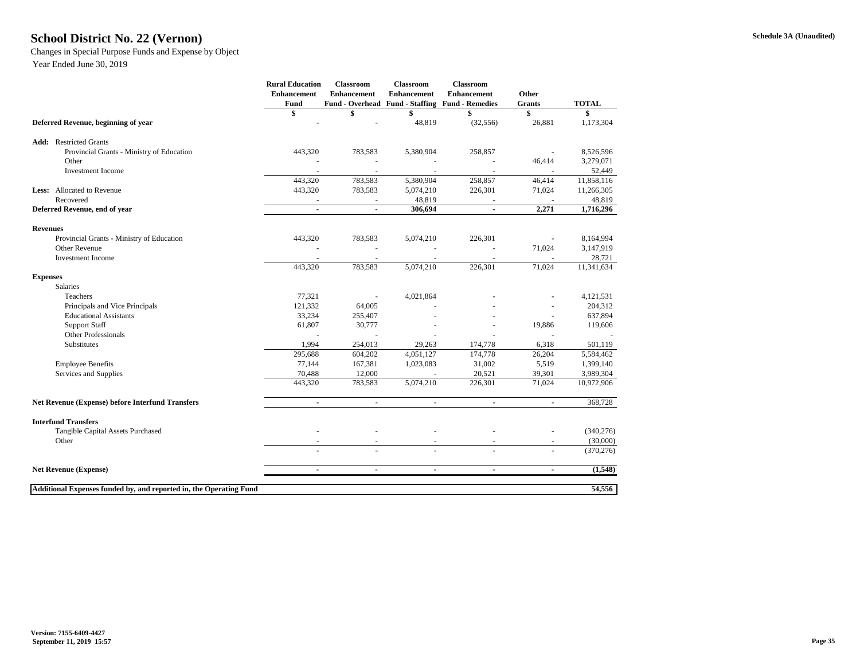### **Schedule 3A (Unaudited) School District No. 22 (Vernon)**

Changes in Special Purpose Funds and Expense by Object

**Additional Expenses funded by, and reported in, the Operating Fund**

Year Ended June 30, 2019

|                                                                    | <b>Rural Education</b>   | <b>Classroom</b>         | <b>Classroom</b>         | <b>Classroom</b>                                |                          |              |
|--------------------------------------------------------------------|--------------------------|--------------------------|--------------------------|-------------------------------------------------|--------------------------|--------------|
|                                                                    | <b>Enhancement</b>       | <b>Enhancement</b>       | <b>Enhancement</b>       | <b>Enhancement</b>                              | <b>Other</b>             |              |
|                                                                    | <b>Fund</b>              |                          |                          | Fund - Overhead Fund - Staffing Fund - Remedies | <b>Grants</b>            | <b>TOTAL</b> |
|                                                                    | \$                       | \$                       |                          | \$                                              | \$                       | \$           |
| Deferred Revenue, beginning of year                                |                          |                          | 48,819                   | (32, 556)                                       | 26,881                   | 1,173,304    |
| <b>Restricted Grants</b><br>Add:                                   |                          |                          |                          |                                                 |                          |              |
| Provincial Grants - Ministry of Education                          | 443,320                  | 783,583                  | 5,380,904                | 258,857                                         |                          | 8,526,596    |
| Other                                                              |                          |                          |                          |                                                 | 46,414                   | 3,279,071    |
| <b>Investment Income</b>                                           |                          |                          |                          |                                                 |                          | 52,449       |
|                                                                    | 443,320                  | 783,583                  | 5,380,904                | 258,857                                         | 46,414                   | 11,858,116   |
| Less: Allocated to Revenue                                         | 443,320                  | 783,583                  | 5,074,210                | 226,301                                         | 71,024                   | 11,266,305   |
| Recovered                                                          |                          |                          | 48,819                   |                                                 |                          | 48,819       |
| Deferred Revenue, end of year                                      |                          | $\blacksquare$           | 306,694                  | $\blacksquare$                                  | 2,271                    | 1,716,296    |
| <b>Revenues</b>                                                    |                          |                          |                          |                                                 |                          |              |
| Provincial Grants - Ministry of Education                          | 443,320                  | 783,583                  | 5,074,210                | 226,301                                         |                          | 8,164,994    |
| Other Revenue                                                      |                          |                          |                          |                                                 | 71,024                   | 3,147,919    |
| <b>Investment Income</b>                                           |                          |                          |                          |                                                 |                          | 28,721       |
|                                                                    | 443,320                  | 783,583                  | 5,074,210                | 226,301                                         | 71,024                   | 11,341,634   |
| <b>Expenses</b>                                                    |                          |                          |                          |                                                 |                          |              |
| Salaries                                                           |                          |                          |                          |                                                 |                          |              |
| Teachers                                                           | 77,321                   | $\overline{\phantom{a}}$ | 4,021,864                |                                                 | $\overline{\phantom{a}}$ | 4,121,531    |
| Principals and Vice Principals                                     | 121,332                  | 64,005                   |                          |                                                 |                          | 204,312      |
| <b>Educational Assistants</b>                                      | 33,234                   | 255,407                  |                          |                                                 |                          | 637,894      |
| <b>Support Staff</b>                                               | 61,807                   | 30,777                   |                          |                                                 | 19,886                   | 119,606      |
| <b>Other Professionals</b>                                         |                          |                          |                          |                                                 |                          |              |
| Substitutes                                                        | 1,994                    | 254,013                  | 29,263                   | 174,778                                         | 6,318                    | 501,119      |
|                                                                    | 295,688                  | 604,202                  | 4,051,127                | 174,778                                         | 26,204                   | 5,584,462    |
| <b>Employee Benefits</b>                                           | 77,144                   | 167,381                  | 1,023,083                | 31,002                                          | 5,519                    | 1,399,140    |
| Services and Supplies                                              | 70,488                   | 12,000                   |                          | 20,521                                          | 39,301                   | 3,989,304    |
|                                                                    | 443,320                  | 783,583                  | 5,074,210                | 226,301                                         | 71,024                   | 10,972,906   |
| <b>Net Revenue (Expense) before Interfund Transfers</b>            | $\overline{\phantom{a}}$ | $\overline{\phantom{a}}$ | $\overline{\phantom{a}}$ | $\overline{\phantom{a}}$                        | $\overline{\phantom{a}}$ | 368,728      |
|                                                                    |                          |                          |                          |                                                 |                          |              |
| <b>Interfund Transfers</b>                                         |                          |                          |                          |                                                 |                          |              |
| <b>Tangible Capital Assets Purchased</b>                           |                          |                          |                          |                                                 |                          | (340, 276)   |
| Other                                                              |                          |                          |                          |                                                 |                          | (30,000)     |
|                                                                    |                          | $\overline{\phantom{a}}$ | $\overline{\phantom{a}}$ | $\overline{\phantom{a}}$                        | $\qquad \qquad -$        | (370, 276)   |
| <b>Net Revenue (Expense)</b>                                       | $\blacksquare$           | $\blacksquare$           |                          | $\blacksquare$                                  | $\blacksquare$           | (1,548)      |
| Additional Expenses funded by, and reported in, the Operating Fund |                          |                          |                          |                                                 |                          | 54,556       |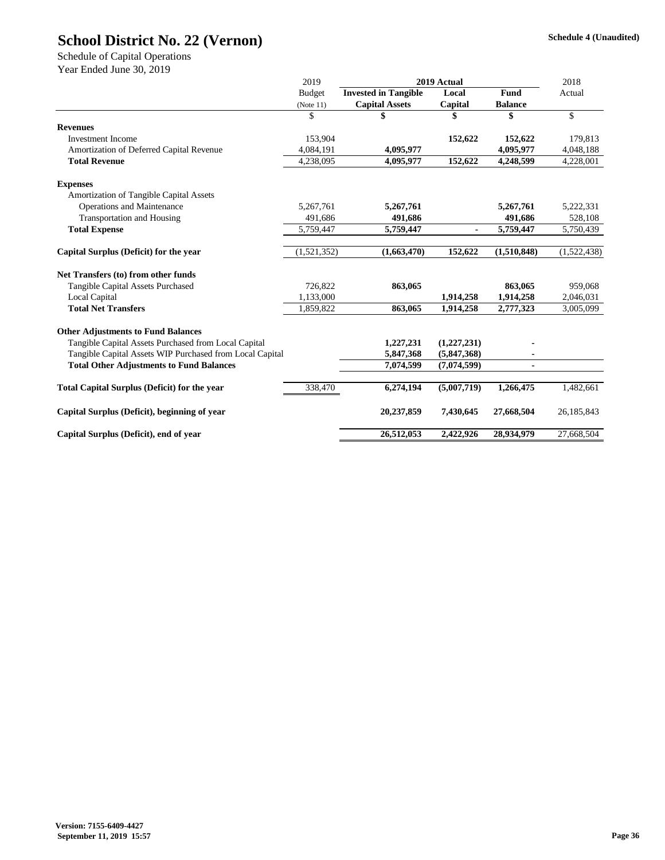|                                                          | 2019          | 2019 Actual                 |             | 2018           |             |
|----------------------------------------------------------|---------------|-----------------------------|-------------|----------------|-------------|
|                                                          | <b>Budget</b> | <b>Invested in Tangible</b> | Local       | Fund           | Actual      |
|                                                          | (Note 11)     | <b>Capital Assets</b>       | Capital     | <b>Balance</b> |             |
|                                                          | \$            |                             |             | \$             | \$          |
| <b>Revenues</b>                                          |               |                             |             |                |             |
| <b>Investment Income</b>                                 | 153,904       |                             | 152,622     | 152,622        | 179,813     |
| Amortization of Deferred Capital Revenue                 | 4,084,191     | 4,095,977                   |             | 4,095,977      | 4,048,188   |
| <b>Total Revenue</b>                                     | 4,238,095     | 4,095,977                   | 152,622     | 4,248,599      | 4,228,001   |
| <b>Expenses</b>                                          |               |                             |             |                |             |
| Amortization of Tangible Capital Assets                  |               |                             |             |                |             |
| <b>Operations and Maintenance</b>                        | 5,267,761     | 5,267,761                   |             | 5,267,761      | 5,222,331   |
| <b>Transportation and Housing</b>                        | 491,686       | 491,686                     |             | 491,686        | 528,108     |
| <b>Total Expense</b>                                     | 5,759,447     | 5,759,447                   |             | 5,759,447      | 5,750,439   |
| Capital Surplus (Deficit) for the year                   | (1,521,352)   | (1,663,470)                 | 152,622     | (1,510,848)    | (1,522,438) |
| Net Transfers (to) from other funds                      |               |                             |             |                |             |
| <b>Tangible Capital Assets Purchased</b>                 | 726,822       | 863,065                     |             | 863,065        | 959,068     |
| <b>Local Capital</b>                                     | 1,133,000     |                             | 1,914,258   | 1,914,258      | 2,046,031   |
| <b>Total Net Transfers</b>                               | 1,859,822     | 863,065                     | 1,914,258   | 2,777,323      | 3,005,099   |
| <b>Other Adjustments to Fund Balances</b>                |               |                             |             |                |             |
| Tangible Capital Assets Purchased from Local Capital     |               | 1,227,231                   | (1,227,231) |                |             |
| Tangible Capital Assets WIP Purchased from Local Capital |               | 5,847,368                   | (5,847,368) |                |             |
| <b>Total Other Adjustments to Fund Balances</b>          |               | 7,074,599                   | (7,074,599) |                |             |
| <b>Total Capital Surplus (Deficit) for the year</b>      | 338,470       | 6,274,194                   | (5,007,719) | 1,266,475      | 1,482,661   |
| Capital Surplus (Deficit), beginning of year             |               | 20,237,859                  | 7,430,645   | 27,668,504     | 26,185,843  |
| Capital Surplus (Deficit), end of year                   |               | 26,512,053                  | 2,422,926   | 28,934,979     | 27,668,504  |

Schedule of Capital Operations

Year Ended June 30, 2019

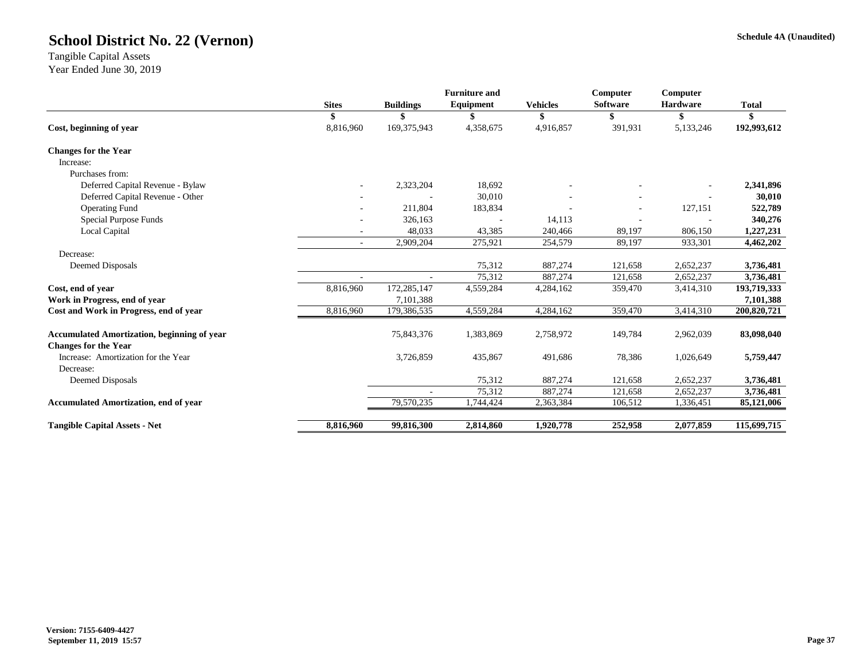|              |                  | <b>Furniture and</b> |                 | Computer        | Computer        |               |
|--------------|------------------|----------------------|-----------------|-----------------|-----------------|---------------|
| <b>Sites</b> | <b>Buildings</b> | Equipment            | <b>Vehicles</b> | <b>Software</b> | <b>Hardware</b> | <b>Total</b>  |
| \$           | \$               | \$                   | \$              | \$              | \$              | $\mathbf{\$}$ |
| 8,816,960    | 169, 375, 943    | 4,358,675            | 4,916,857       | 391,931         | 5,133,246       | 192,993,612   |
|              |                  |                      |                 |                 |                 |               |
|              |                  |                      |                 |                 |                 |               |
|              |                  |                      |                 |                 |                 |               |
|              | 2,323,204        | 18,692               |                 |                 |                 | 2,341,896     |
|              |                  | 30,010               |                 |                 |                 | 30,010        |
|              | 211,804          | 183,834              |                 |                 | 127,151         | 522,789       |
|              | 326,163          |                      | 14,113          |                 |                 | 340,276       |
|              | 48,033           | 43,385               | 240,466         | 89,197          | 806,150         | 1,227,231     |
| $\sim$       | 2,909,204        | 275,921              | 254,579         | 89,197          | 933,301         | 4,462,202     |
|              |                  |                      |                 |                 |                 |               |
|              |                  | 75,312               | 887,274         | 121,658         | 2,652,237       | 3,736,481     |
|              |                  | 75,312               | 887,274         | 121,658         | 2,652,237       | 3,736,481     |
| 8,816,960    | 172,285,147      | 4,559,284            | 4,284,162       | 359,470         | 3,414,310       | 193,719,333   |
|              | 7,101,388        |                      |                 |                 |                 | 7,101,388     |
| 8,816,960    | 179,386,535      | 4,559,284            | 4,284,162       | 359,470         | 3,414,310       | 200,820,721   |
|              | 75,843,376       | 1,383,869            | 2,758,972       | 149,784         | 2,962,039       | 83,098,040    |
|              | 3,726,859        | 435,867              | 491,686         | 78,386          | 1,026,649       | 5,759,447     |
|              |                  |                      |                 |                 |                 | 3,736,481     |
|              |                  | 75,312               | 887,274         | 121,658         | 2,652,237       | 3,736,481     |
|              | 79,570,235       | 1,744,424            | 2,363,384       | 106,512         | 1,336,451       | 85,121,006    |
| 8,816,960    | 99,816,300       | 2,814,860            | 1,920,778       | 252,958         | 2,077,859       | 115,699,715   |
|              |                  |                      | 75,312          | 887,274         | 121,658         | 2,652,237     |

Tangible Capital Assets Year Ended June 30, 2019

### **School District No. 22 (Vernon)**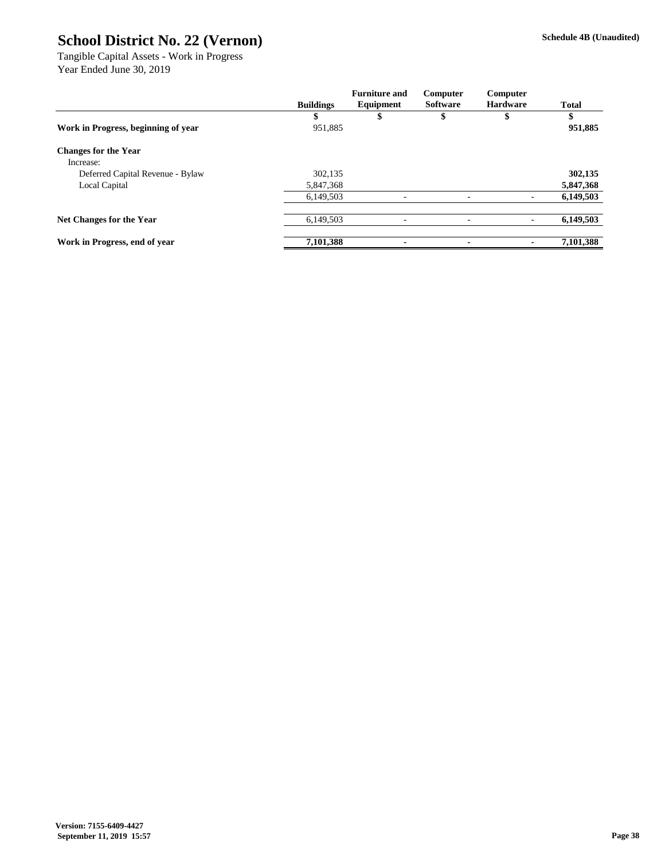|                                     | <b>Buildings</b> | <b>Furniture and</b><br>Equipment | Computer<br><b>Software</b> | Computer<br><b>Hardware</b> | <b>Total</b> |
|-------------------------------------|------------------|-----------------------------------|-----------------------------|-----------------------------|--------------|
|                                     | \$               | Φ                                 | \$                          | \$                          | \$           |
| Work in Progress, beginning of year | 951,885          |                                   |                             |                             | 951,885      |
| <b>Changes for the Year</b>         |                  |                                   |                             |                             |              |
| Increase:                           |                  |                                   |                             |                             |              |
| Deferred Capital Revenue - Bylaw    | 302,135          |                                   |                             |                             | 302,135      |
| Local Capital                       | 5,847,368        |                                   |                             |                             | 5,847,368    |
|                                     | 6,149,503        |                                   |                             |                             | 6,149,503    |
| <b>Net Changes for the Year</b>     | 6,149,503        | $\overline{\phantom{a}}$          |                             |                             | 6,149,503    |
| Work in Progress, end of year       | 7,101,388        | $\blacksquare$                    | $\blacksquare$              |                             | 7,101,388    |

Tangible Capital Assets - Work in Progress Year Ended June 30, 2019

### **School District No. 22 (Vernon)**

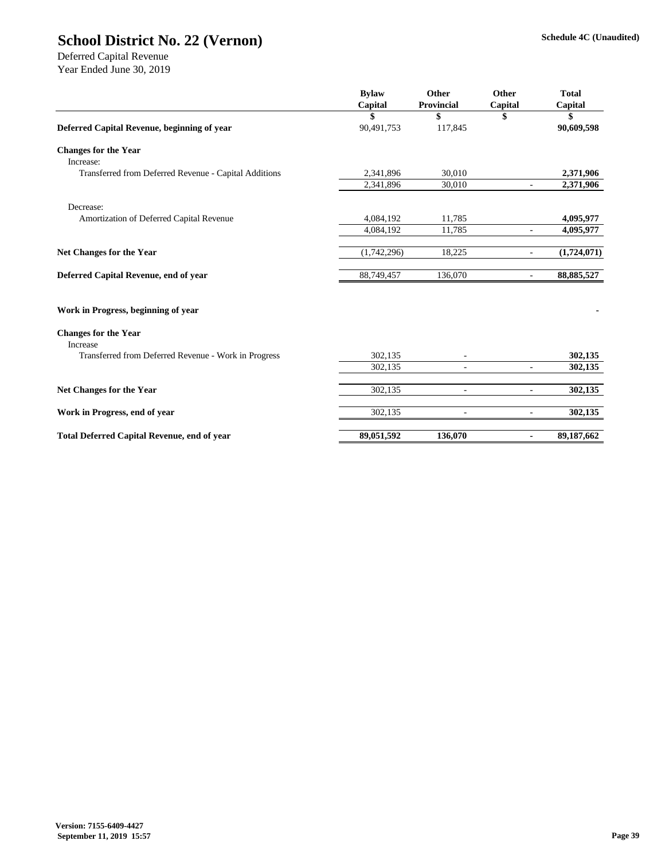|                                                       | <b>Bylaw</b>  | <b>Other</b>             | <b>Other</b>             | <b>Total</b>  |
|-------------------------------------------------------|---------------|--------------------------|--------------------------|---------------|
|                                                       | Capital<br>\$ | <b>Provincial</b><br>\$  | Capital                  | Capital<br>\$ |
| Deferred Capital Revenue, beginning of year           | 90,491,753    | 117,845                  | \$                       | 90,609,598    |
| <b>Changes for the Year</b><br>Increase:              |               |                          |                          |               |
| Transferred from Deferred Revenue - Capital Additions | 2,341,896     | 30,010                   |                          | 2,371,906     |
|                                                       | 2,341,896     | 30,010                   | $\overline{\phantom{a}}$ | 2,371,906     |
| Decrease:                                             |               |                          |                          |               |
| Amortization of Deferred Capital Revenue              | 4,084,192     | 11,785                   |                          | 4,095,977     |
|                                                       | 4,084,192     | 11,785                   | $\overline{\phantom{a}}$ | 4,095,977     |
| <b>Net Changes for the Year</b>                       | (1,742,296)   | 18,225                   | $\overline{\phantom{a}}$ | (1,724,071)   |
| Deferred Capital Revenue, end of year                 | 88,749,457    | 136,070                  | $\overline{\phantom{a}}$ | 88,885,527    |
| Work in Progress, beginning of year                   |               |                          |                          |               |
| <b>Changes for the Year</b><br>Increase               |               |                          |                          |               |
| Transferred from Deferred Revenue - Work in Progress  | 302,135       |                          |                          | 302,135       |
|                                                       | 302,135       |                          | $\overline{a}$           | 302,135       |
| <b>Net Changes for the Year</b>                       | 302,135       | $\overline{\phantom{a}}$ | $\overline{\phantom{a}}$ | 302,135       |
| Work in Progress, end of year                         | 302,135       |                          |                          | 302,135       |
| <b>Total Deferred Capital Revenue, end of year</b>    | 89,051,592    | 136,070                  | $\blacksquare$           | 89,187,662    |

Deferred Capital Revenue Year Ended June 30, 2019